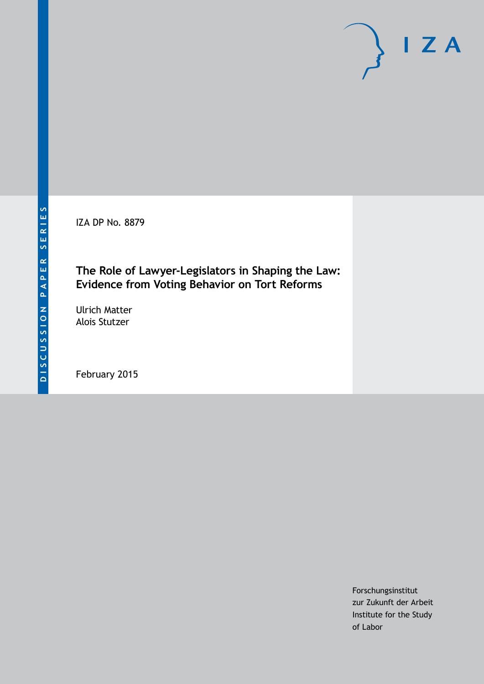IZA DP No. 8879

# **The Role of Lawyer-Legislators in Shaping the Law: Evidence from Voting Behavior on Tort Reforms**

Ulrich Matter Alois Stutzer

February 2015

Forschungsinstitut zur Zukunft der Arbeit Institute for the Study of Labor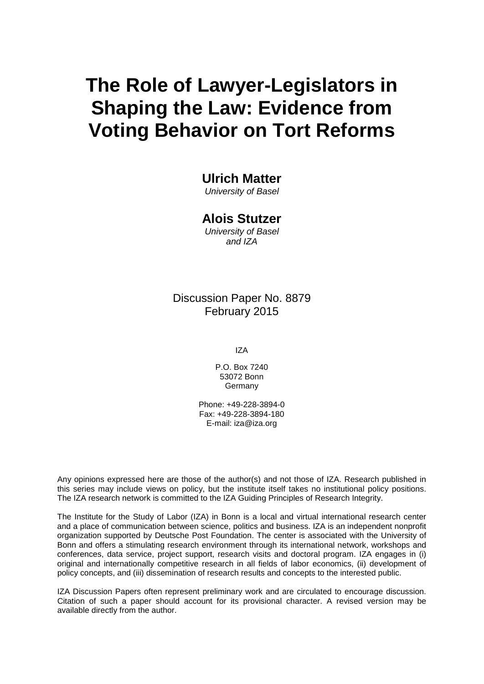# **The Role of Lawyer-Legislators in Shaping the Law: Evidence from Voting Behavior on Tort Reforms**

# **Ulrich Matter**

*University of Basel*

# **Alois Stutzer**

*University of Basel and IZA*

# Discussion Paper No. 8879 February 2015

IZA

P.O. Box 7240 53072 Bonn **Germany** 

Phone: +49-228-3894-0 Fax: +49-228-3894-180 E-mail: [iza@iza.org](mailto:iza@iza.org)

Any opinions expressed here are those of the author(s) and not those of IZA. Research published in this series may include views on policy, but the institute itself takes no institutional policy positions. The IZA research network is committed to the IZA Guiding Principles of Research Integrity.

<span id="page-1-0"></span>The Institute for the Study of Labor (IZA) in Bonn is a local and virtual international research center and a place of communication between science, politics and business. IZA is an independent nonprofit organization supported by Deutsche Post Foundation. The center is associated with the University of Bonn and offers a stimulating research environment through its international network, workshops and conferences, data service, project support, research visits and doctoral program. IZA engages in (i) original and internationally competitive research in all fields of labor economics, (ii) development of policy concepts, and (iii) dissemination of research results and concepts to the interested public.

IZA Discussion Papers often represent preliminary work and are circulated to encourage discussion. Citation of such a paper should account for its provisional character. A revised version may be available directly from the author.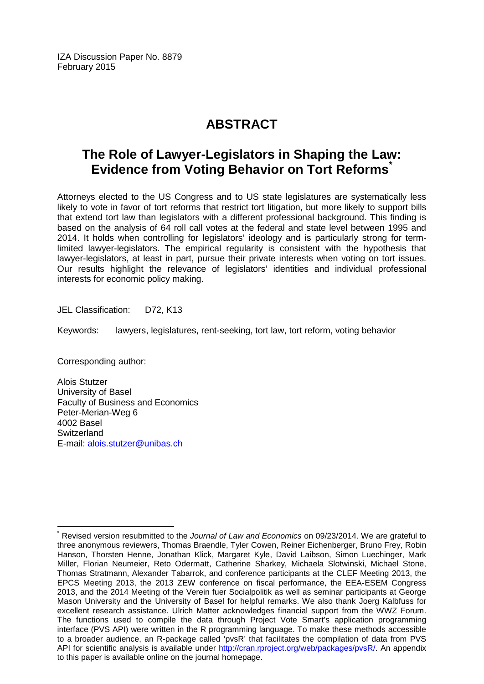IZA Discussion Paper No. 8879 February 2015

# **ABSTRACT**

# **The Role of Lawyer-Legislators in Shaping the Law: Evidence from Voting Behavior on Tort Reforms[\\*](#page-1-0)**

Attorneys elected to the US Congress and to US state legislatures are systematically less likely to vote in favor of tort reforms that restrict tort litigation, but more likely to support bills that extend tort law than legislators with a different professional background. This finding is based on the analysis of 64 roll call votes at the federal and state level between 1995 and 2014. It holds when controlling for legislators' ideology and is particularly strong for termlimited lawyer-legislators. The empirical regularity is consistent with the hypothesis that lawyer-legislators, at least in part, pursue their private interests when voting on tort issues. Our results highlight the relevance of legislators' identities and individual professional interests for economic policy making.

JEL Classification: D72, K13

Keywords: lawyers, legislatures, rent-seeking, tort law, tort reform, voting behavior

Corresponding author:

Alois Stutzer University of Basel Faculty of Business and Economics Peter-Merian-Weg 6 4002 Basel **Switzerland** E-mail: [alois.stutzer@unibas.ch](mailto:alois.stutzer@unibas.ch)

\* Revised version resubmitted to the *Journal of Law and Economics* on 09/23/2014. We are grateful to three anonymous reviewers, Thomas Braendle, Tyler Cowen, Reiner Eichenberger, Bruno Frey, Robin Hanson, Thorsten Henne, Jonathan Klick, Margaret Kyle, David Laibson, Simon Luechinger, Mark Miller, Florian Neumeier, Reto Odermatt, Catherine Sharkey, Michaela Slotwinski, Michael Stone, Thomas Stratmann, Alexander Tabarrok, and conference participants at the CLEF Meeting 2013, the EPCS Meeting 2013, the 2013 ZEW conference on fiscal performance, the EEA-ESEM Congress 2013, and the 2014 Meeting of the Verein fuer Socialpolitik as well as seminar participants at George Mason University and the University of Basel for helpful remarks. We also thank Joerg Kalbfuss for excellent research assistance. Ulrich Matter acknowledges financial support from the WWZ Forum. The functions used to compile the data through Project Vote Smart's application programming interface (PVS API) were written in the R programming language. To make these methods accessible to a broader audience, an R-package called 'pvsR' that facilitates the compilation of data from PVS API for scientific analysis is available under [http://cran.rproject.org/web/packages/pvsR/.](http://cran.rproject.org/web/packages/pvsR/) An appendix to this paper is available online on the journal homepage.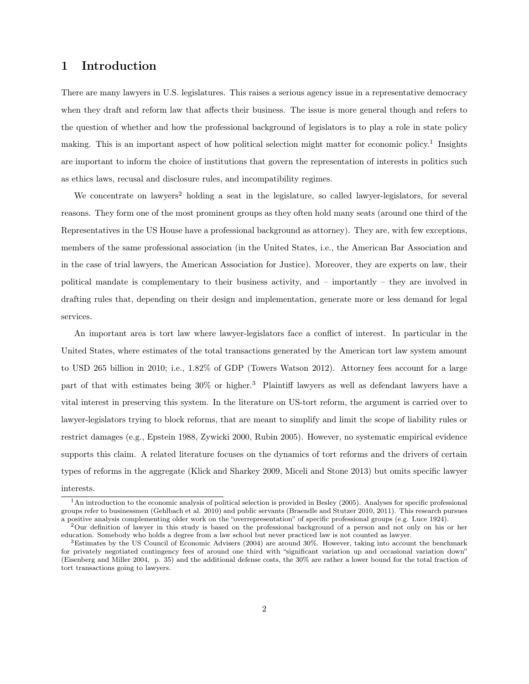### 1 Introduction

There are many lawyers in U.S. legislatures. This raises a serious agency issue in a representative democracy when they draft and reform law that affects their business. The issue is more general though and refers to the question of whether and how the professional background of legislators is to play a role in state policy making. This is an important aspect of how political selection might matter for economic policy.<sup>1</sup> Insights are important to inform the choice of institutions that govern the representation of interests in politics such as ethics laws, recusal and disclosure rules, and incompatibility regimes.

We concentrate on lawyers<sup>2</sup> holding a seat in the legislature, so called lawyer-legislators, for several reasons. They form one of the most prominent groups as they often hold many seats (around one third of the Representatives in the US House have a professional background as attorney). They are, with few exceptions, members of the same professional association (in the United States, i.e., the American Bar Association and in the case of trial lawyers, the American Association for Justice). Moreover, they are experts on law, their political mandate is complementary to their business activity, and – importantly – they are involved in drafting rules that, depending on their design and implementation, generate more or less demand for legal services.

An important area is tort law where lawyer-legislators face a conflict of interest. In particular in the United States, where estimates of the total transactions generated by the American tort law system amount to USD 265 billion in 2010; i.e., 1.82% of GDP (Towers Watson 2012). Attorney fees account for a large part of that with estimates being 30% or higher.<sup>3</sup> Plaintiff lawyers as well as defendant lawyers have a vital interest in preserving this system. In the literature on US-tort reform, the argument is carried over to lawyer-legislators trying to block reforms, that are meant to simplify and limit the scope of liability rules or restrict damages (e.g., Epstein 1988, Zywicki 2000, Rubin 2005). However, no systematic empirical evidence supports this claim. A related literature focuses on the dynamics of tort reforms and the drivers of certain types of reforms in the aggregate (Klick and Sharkey 2009, Miceli and Stone 2013) but omits specific lawyer

#### interests.

<sup>&</sup>lt;sup>1</sup>An introduction to the economic analysis of political selection is provided in Besley (2005). Analyses for specific professional groups refer to businessmen (Gehlbach et al. 2010) and public servants (Braendle and Stutzer 2010, 2011). This research pursues a positive analysis complementing older work on the "overrepresentation" of specific professional groups (e.g. Luce 1924).

<sup>2</sup>Our definition of lawyer in this study is based on the professional background of a person and not only on his or her education. Somebody who holds a degree from a law school but never practiced law is not counted as lawyer.

<sup>3</sup>Estimates by the US Council of Economic Advisers (2004) are around 30%. However, taking into account the benchmark for privately negotiated contingency fees of around one third with "significant variation up and occasional variation down" (Eisenberg and Miller 2004, p. 35) and the additional defense costs, the 30% are rather a lower bound for the total fraction of tort transactions going to lawyers.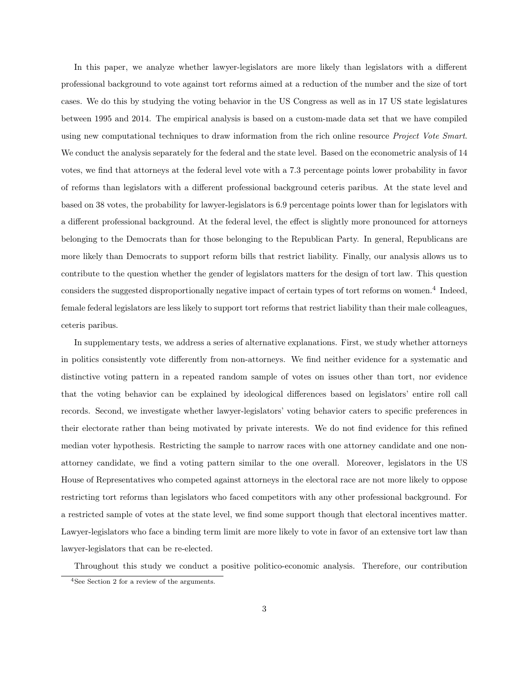In this paper, we analyze whether lawyer-legislators are more likely than legislators with a different professional background to vote against tort reforms aimed at a reduction of the number and the size of tort cases. We do this by studying the voting behavior in the US Congress as well as in 17 US state legislatures between 1995 and 2014. The empirical analysis is based on a custom-made data set that we have compiled using new computational techniques to draw information from the rich online resource *Project Vote Smart*. We conduct the analysis separately for the federal and the state level. Based on the econometric analysis of 14 votes, we find that attorneys at the federal level vote with a 7.3 percentage points lower probability in favor of reforms than legislators with a different professional background ceteris paribus. At the state level and based on 38 votes, the probability for lawyer-legislators is 6.9 percentage points lower than for legislators with a different professional background. At the federal level, the effect is slightly more pronounced for attorneys belonging to the Democrats than for those belonging to the Republican Party. In general, Republicans are more likely than Democrats to support reform bills that restrict liability. Finally, our analysis allows us to contribute to the question whether the gender of legislators matters for the design of tort law. This question considers the suggested disproportionally negative impact of certain types of tort reforms on women.<sup>4</sup> Indeed, female federal legislators are less likely to support tort reforms that restrict liability than their male colleagues, ceteris paribus.

In supplementary tests, we address a series of alternative explanations. First, we study whether attorneys in politics consistently vote differently from non-attorneys. We find neither evidence for a systematic and distinctive voting pattern in a repeated random sample of votes on issues other than tort, nor evidence that the voting behavior can be explained by ideological differences based on legislators' entire roll call records. Second, we investigate whether lawyer-legislators' voting behavior caters to specific preferences in their electorate rather than being motivated by private interests. We do not find evidence for this refined median voter hypothesis. Restricting the sample to narrow races with one attorney candidate and one nonattorney candidate, we find a voting pattern similar to the one overall. Moreover, legislators in the US House of Representatives who competed against attorneys in the electoral race are not more likely to oppose restricting tort reforms than legislators who faced competitors with any other professional background. For a restricted sample of votes at the state level, we find some support though that electoral incentives matter. Lawyer-legislators who face a binding term limit are more likely to vote in favor of an extensive tort law than lawyer-legislators that can be re-elected.

Throughout this study we conduct a positive politico-economic analysis. Therefore, our contribution

<sup>4</sup>See Section 2 for a review of the arguments.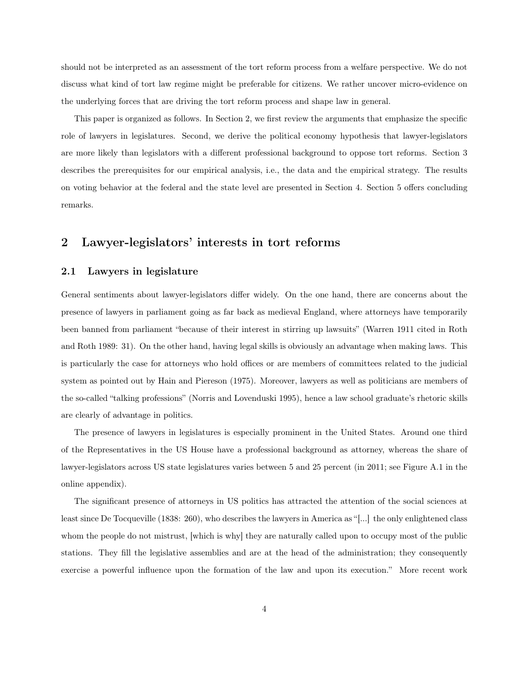should not be interpreted as an assessment of the tort reform process from a welfare perspective. We do not discuss what kind of tort law regime might be preferable for citizens. We rather uncover micro-evidence on the underlying forces that are driving the tort reform process and shape law in general.

This paper is organized as follows. In Section 2, we first review the arguments that emphasize the specific role of lawyers in legislatures. Second, we derive the political economy hypothesis that lawyer-legislators are more likely than legislators with a different professional background to oppose tort reforms. Section 3 describes the prerequisites for our empirical analysis, i.e., the data and the empirical strategy. The results on voting behavior at the federal and the state level are presented in Section 4. Section 5 offers concluding remarks.

### 2 Lawyer-legislators' interests in tort reforms

#### 2.1 Lawyers in legislature

General sentiments about lawyer-legislators differ widely. On the one hand, there are concerns about the presence of lawyers in parliament going as far back as medieval England, where attorneys have temporarily been banned from parliament "because of their interest in stirring up lawsuits" (Warren 1911 cited in Roth and Roth 1989: 31). On the other hand, having legal skills is obviously an advantage when making laws. This is particularly the case for attorneys who hold offices or are members of committees related to the judicial system as pointed out by Hain and Piereson (1975). Moreover, lawyers as well as politicians are members of the so-called "talking professions" (Norris and Lovenduski 1995), hence a law school graduate's rhetoric skills are clearly of advantage in politics.

The presence of lawyers in legislatures is especially prominent in the United States. Around one third of the Representatives in the US House have a professional background as attorney, whereas the share of lawyer-legislators across US state legislatures varies between 5 and 25 percent (in 2011; see Figure A.1 in the online appendix).

The significant presence of attorneys in US politics has attracted the attention of the social sciences at least since De Tocqueville (1838: 260), who describes the lawyers in America as "[...] the only enlightened class whom the people do not mistrust, [which is why] they are naturally called upon to occupy most of the public stations. They fill the legislative assemblies and are at the head of the administration; they consequently exercise a powerful influence upon the formation of the law and upon its execution." More recent work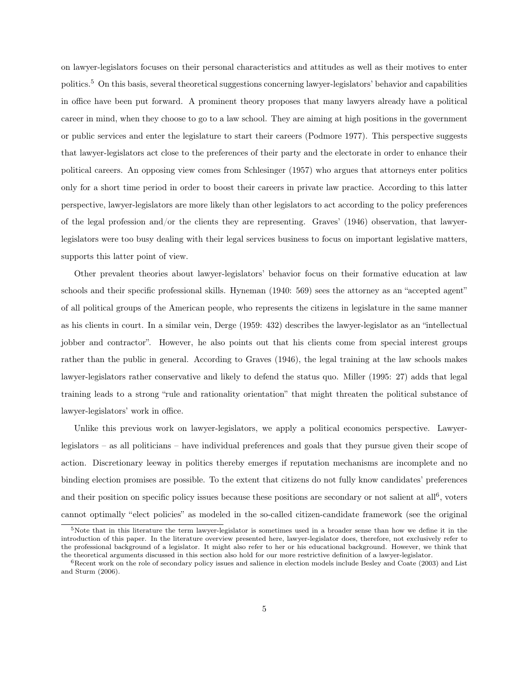on lawyer-legislators focuses on their personal characteristics and attitudes as well as their motives to enter politics.<sup>5</sup> On this basis, several theoretical suggestions concerning lawyer-legislators' behavior and capabilities in office have been put forward. A prominent theory proposes that many lawyers already have a political career in mind, when they choose to go to a law school. They are aiming at high positions in the government or public services and enter the legislature to start their careers (Podmore 1977). This perspective suggests that lawyer-legislators act close to the preferences of their party and the electorate in order to enhance their political careers. An opposing view comes from Schlesinger (1957) who argues that attorneys enter politics only for a short time period in order to boost their careers in private law practice. According to this latter perspective, lawyer-legislators are more likely than other legislators to act according to the policy preferences of the legal profession and/or the clients they are representing. Graves' (1946) observation, that lawyerlegislators were too busy dealing with their legal services business to focus on important legislative matters, supports this latter point of view.

Other prevalent theories about lawyer-legislators' behavior focus on their formative education at law schools and their specific professional skills. Hyneman (1940: 569) sees the attorney as an "accepted agent" of all political groups of the American people, who represents the citizens in legislature in the same manner as his clients in court. In a similar vein, Derge (1959: 432) describes the lawyer-legislator as an "intellectual jobber and contractor". However, he also points out that his clients come from special interest groups rather than the public in general. According to Graves (1946), the legal training at the law schools makes lawyer-legislators rather conservative and likely to defend the status quo. Miller (1995: 27) adds that legal training leads to a strong "rule and rationality orientation" that might threaten the political substance of lawyer-legislators' work in office.

Unlike this previous work on lawyer-legislators, we apply a political economics perspective. Lawyerlegislators – as all politicians – have individual preferences and goals that they pursue given their scope of action. Discretionary leeway in politics thereby emerges if reputation mechanisms are incomplete and no binding election promises are possible. To the extent that citizens do not fully know candidates' preferences and their position on specific policy issues because these positions are secondary or not salient at all<sup>6</sup>, voters cannot optimally "elect policies" as modeled in the so-called citizen-candidate framework (see the original

 $5$ Note that in this literature the term lawyer-legislator is sometimes used in a broader sense than how we define it in the introduction of this paper. In the literature overview presented here, lawyer-legislator does, therefore, not exclusively refer to the professional background of a legislator. It might also refer to her or his educational background. However, we think that the theoretical arguments discussed in this section also hold for our more restrictive definition of a lawyer-legislator.

 ${}^{6}$ Recent work on the role of secondary policy issues and salience in election models include Besley and Coate (2003) and List and Sturm (2006).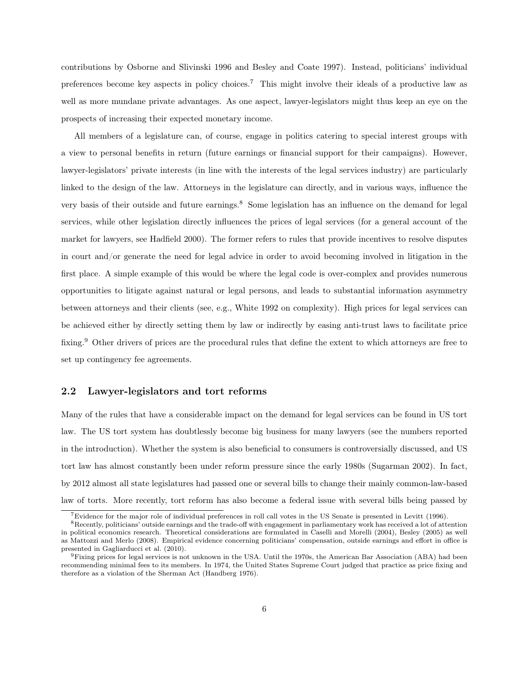contributions by Osborne and Slivinski 1996 and Besley and Coate 1997). Instead, politicians' individual preferences become key aspects in policy choices.<sup>7</sup> This might involve their ideals of a productive law as well as more mundane private advantages. As one aspect, lawyer-legislators might thus keep an eye on the prospects of increasing their expected monetary income.

All members of a legislature can, of course, engage in politics catering to special interest groups with a view to personal benefits in return (future earnings or financial support for their campaigns). However, lawyer-legislators' private interests (in line with the interests of the legal services industry) are particularly linked to the design of the law. Attorneys in the legislature can directly, and in various ways, influence the very basis of their outside and future earnings.<sup>8</sup> Some legislation has an influence on the demand for legal services, while other legislation directly influences the prices of legal services (for a general account of the market for lawyers, see Hadfield 2000). The former refers to rules that provide incentives to resolve disputes in court and/or generate the need for legal advice in order to avoid becoming involved in litigation in the first place. A simple example of this would be where the legal code is over-complex and provides numerous opportunities to litigate against natural or legal persons, and leads to substantial information asymmetry between attorneys and their clients (see, e.g., White 1992 on complexity). High prices for legal services can be achieved either by directly setting them by law or indirectly by easing anti-trust laws to facilitate price fixing.<sup>9</sup> Other drivers of prices are the procedural rules that define the extent to which attorneys are free to set up contingency fee agreements.

#### 2.2 Lawyer-legislators and tort reforms

Many of the rules that have a considerable impact on the demand for legal services can be found in US tort law. The US tort system has doubtlessly become big business for many lawyers (see the numbers reported in the introduction). Whether the system is also beneficial to consumers is controversially discussed, and US tort law has almost constantly been under reform pressure since the early 1980s (Sugarman 2002). In fact, by 2012 almost all state legislatures had passed one or several bills to change their mainly common-law-based law of torts. More recently, tort reform has also become a federal issue with several bills being passed by

<sup>7</sup>Evidence for the major role of individual preferences in roll call votes in the US Senate is presented in Levitt (1996).

<sup>8</sup>Recently, politicians' outside earnings and the trade-off with engagement in parliamentary work has received a lot of attention in political economics research. Theoretical considerations are formulated in Caselli and Morelli (2004), Besley (2005) as well as Mattozzi and Merlo (2008). Empirical evidence concerning politicians' compensation, outside earnings and effort in office is presented in Gagliarducci et al. (2010).

<sup>9</sup>Fixing prices for legal services is not unknown in the USA. Until the 1970s, the American Bar Association (ABA) had been recommending minimal fees to its members. In 1974, the United States Supreme Court judged that practice as price fixing and therefore as a violation of the Sherman Act (Handberg 1976).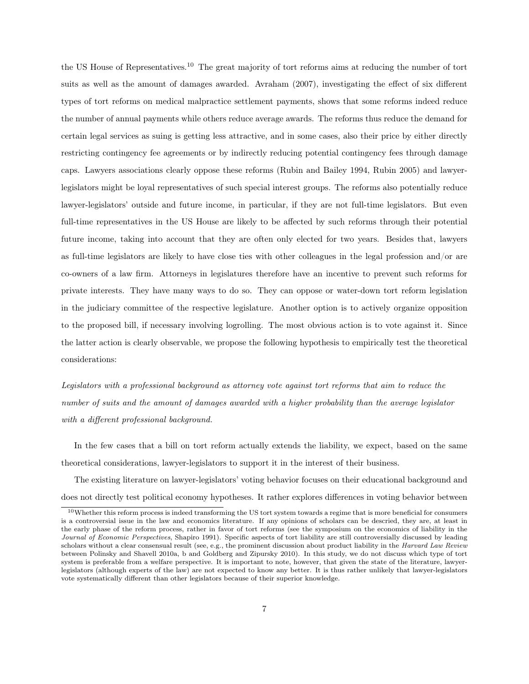the US House of Representatives.<sup>10</sup> The great majority of tort reforms aims at reducing the number of tort suits as well as the amount of damages awarded. Avraham (2007), investigating the effect of six different types of tort reforms on medical malpractice settlement payments, shows that some reforms indeed reduce the number of annual payments while others reduce average awards. The reforms thus reduce the demand for certain legal services as suing is getting less attractive, and in some cases, also their price by either directly restricting contingency fee agreements or by indirectly reducing potential contingency fees through damage caps. Lawyers associations clearly oppose these reforms (Rubin and Bailey 1994, Rubin 2005) and lawyerlegislators might be loyal representatives of such special interest groups. The reforms also potentially reduce lawyer-legislators' outside and future income, in particular, if they are not full-time legislators. But even full-time representatives in the US House are likely to be affected by such reforms through their potential future income, taking into account that they are often only elected for two years. Besides that, lawyers as full-time legislators are likely to have close ties with other colleagues in the legal profession and/or are co-owners of a law firm. Attorneys in legislatures therefore have an incentive to prevent such reforms for private interests. They have many ways to do so. They can oppose or water-down tort reform legislation in the judiciary committee of the respective legislature. Another option is to actively organize opposition to the proposed bill, if necessary involving logrolling. The most obvious action is to vote against it. Since the latter action is clearly observable, we propose the following hypothesis to empirically test the theoretical considerations:

*Legislators with a professional background as attorney vote against tort reforms that aim to reduce the number of suits and the amount of damages awarded with a higher probability than the average legislator with a di*ff*erent professional background.*

In the few cases that a bill on tort reform actually extends the liability, we expect, based on the same theoretical considerations, lawyer-legislators to support it in the interest of their business.

The existing literature on lawyer-legislators' voting behavior focuses on their educational background and does not directly test political economy hypotheses. It rather explores differences in voting behavior between

<sup>&</sup>lt;sup>10</sup>Whether this reform process is indeed transforming the US tort system towards a regime that is more beneficial for consumers is a controversial issue in the law and economics literature. If any opinions of scholars can be descried, they are, at least in the early phase of the reform process, rather in favor of tort reforms (see the symposium on the economics of liability in the *Journal of Economic Perspectives*, Shapiro 1991). Specific aspects of tort liability are still controversially discussed by leading scholars without a clear consensual result (see, e.g., the prominent discussion about product liability in the *Harvard Law Review* between Polinsky and Shavell 2010a, b and Goldberg and Zipursky 2010). In this study, we do not discuss which type of tort system is preferable from a welfare perspective. It is important to note, however, that given the state of the literature, lawyerlegislators (although experts of the law) are not expected to know any better. It is thus rather unlikely that lawyer-legislators vote systematically different than other legislators because of their superior knowledge.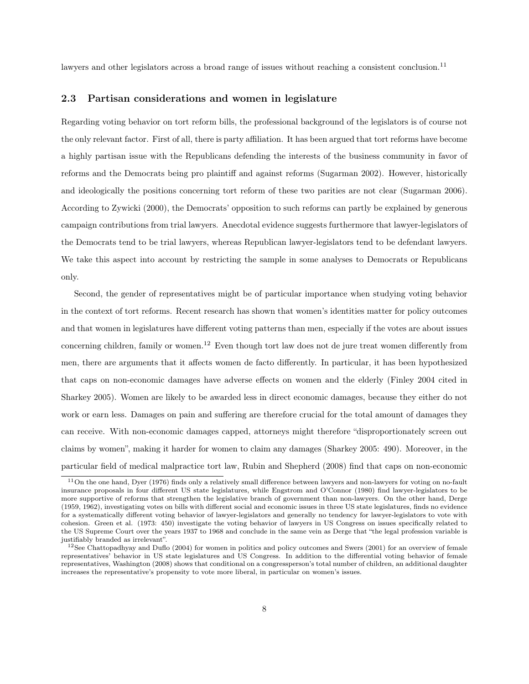lawyers and other legislators across a broad range of issues without reaching a consistent conclusion.<sup>11</sup>

#### 2.3 Partisan considerations and women in legislature

Regarding voting behavior on tort reform bills, the professional background of the legislators is of course not the only relevant factor. First of all, there is party affiliation. It has been argued that tort reforms have become a highly partisan issue with the Republicans defending the interests of the business community in favor of reforms and the Democrats being pro plaintiff and against reforms (Sugarman 2002). However, historically and ideologically the positions concerning tort reform of these two parities are not clear (Sugarman 2006). According to Zywicki (2000), the Democrats' opposition to such reforms can partly be explained by generous campaign contributions from trial lawyers. Anecdotal evidence suggests furthermore that lawyer-legislators of the Democrats tend to be trial lawyers, whereas Republican lawyer-legislators tend to be defendant lawyers. We take this aspect into account by restricting the sample in some analyses to Democrats or Republicans only.

Second, the gender of representatives might be of particular importance when studying voting behavior in the context of tort reforms. Recent research has shown that women's identities matter for policy outcomes and that women in legislatures have different voting patterns than men, especially if the votes are about issues concerning children, family or women.<sup>12</sup> Even though tort law does not de jure treat women differently from men, there are arguments that it affects women de facto differently. In particular, it has been hypothesized that caps on non-economic damages have adverse effects on women and the elderly (Finley 2004 cited in Sharkey 2005). Women are likely to be awarded less in direct economic damages, because they either do not work or earn less. Damages on pain and suffering are therefore crucial for the total amount of damages they can receive. With non-economic damages capped, attorneys might therefore "disproportionately screen out claims by women", making it harder for women to claim any damages (Sharkey 2005: 490). Moreover, in the particular field of medical malpractice tort law, Rubin and Shepherd (2008) find that caps on non-economic

<sup>11</sup>On the one hand, Dyer (1976) finds only a relatively small difference between lawyers and non-lawyers for voting on no-fault insurance proposals in four different US state legislatures, while Engstrom and O'Connor (1980) find lawyer-legislators to be more supportive of reforms that strengthen the legislative branch of government than non-lawyers. On the other hand, Derge (1959, 1962), investigating votes on bills with different social and economic issues in three US state legislatures, finds no evidence for a systematically different voting behavior of lawyer-legislators and generally no tendency for lawyer-legislators to vote with cohesion. Green et al. (1973: 450) investigate the voting behavior of lawyers in US Congress on issues specifically related to the US Supreme Court over the years 1937 to 1968 and conclude in the same vein as Derge that "the legal profession variable is justifiably branded as irrelevant".

 $12$ See Chattopadhyay and Duflo (2004) for women in politics and policy outcomes and Swers (2001) for an overview of female representatives' behavior in US state legislatures and US Congress. In addition to the differential voting behavior of female representatives, Washington (2008) shows that conditional on a congressperson's total number of children, an additional daughter increases the representative's propensity to vote more liberal, in particular on women's issues.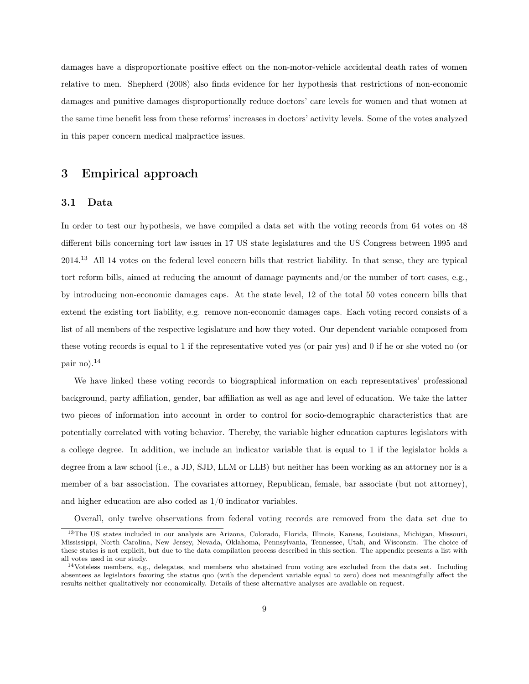damages have a disproportionate positive effect on the non-motor-vehicle accidental death rates of women relative to men. Shepherd (2008) also finds evidence for her hypothesis that restrictions of non-economic damages and punitive damages disproportionally reduce doctors' care levels for women and that women at the same time benefit less from these reforms' increases in doctors' activity levels. Some of the votes analyzed in this paper concern medical malpractice issues.

### 3 Empirical approach

#### 3.1 Data

In order to test our hypothesis, we have compiled a data set with the voting records from 64 votes on 48 different bills concerning tort law issues in 17 US state legislatures and the US Congress between 1995 and 2014.<sup>13</sup> All 14 votes on the federal level concern bills that restrict liability. In that sense, they are typical tort reform bills, aimed at reducing the amount of damage payments and/or the number of tort cases, e.g., by introducing non-economic damages caps. At the state level, 12 of the total 50 votes concern bills that extend the existing tort liability, e.g. remove non-economic damages caps. Each voting record consists of a list of all members of the respective legislature and how they voted. Our dependent variable composed from these voting records is equal to 1 if the representative voted yes (or pair yes) and 0 if he or she voted no (or pair no).<sup>14</sup>

We have linked these voting records to biographical information on each representatives' professional background, party affiliation, gender, bar affiliation as well as age and level of education. We take the latter two pieces of information into account in order to control for socio-demographic characteristics that are potentially correlated with voting behavior. Thereby, the variable higher education captures legislators with a college degree. In addition, we include an indicator variable that is equal to 1 if the legislator holds a degree from a law school (i.e., a JD, SJD, LLM or LLB) but neither has been working as an attorney nor is a member of a bar association. The covariates attorney, Republican, female, bar associate (but not attorney), and higher education are also coded as 1/0 indicator variables.

Overall, only twelve observations from federal voting records are removed from the data set due to

<sup>13</sup>The US states included in our analysis are Arizona, Colorado, Florida, Illinois, Kansas, Louisiana, Michigan, Missouri, Mississippi, North Carolina, New Jersey, Nevada, Oklahoma, Pennsylvania, Tennessee, Utah, and Wisconsin. The choice of these states is not explicit, but due to the data compilation process described in this section. The appendix presents a list with all votes used in our study.

<sup>&</sup>lt;sup>14</sup>Voteless members, e.g., delegates, and members who abstained from voting are excluded from the data set. Including absentees as legislators favoring the status quo (with the dependent variable equal to zero) does not meaningfully affect the results neither qualitatively nor economically. Details of these alternative analyses are available on request.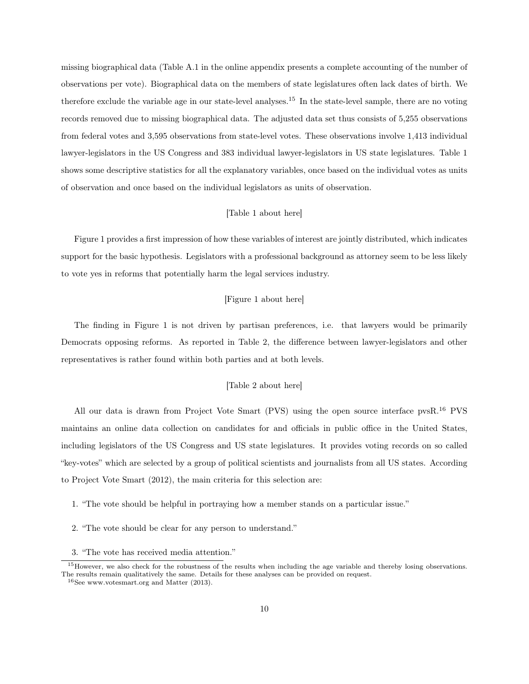missing biographical data (Table A.1 in the online appendix presents a complete accounting of the number of observations per vote). Biographical data on the members of state legislatures often lack dates of birth. We therefore exclude the variable age in our state-level analyses.<sup>15</sup> In the state-level sample, there are no voting records removed due to missing biographical data. The adjusted data set thus consists of 5,255 observations from federal votes and 3,595 observations from state-level votes. These observations involve 1,413 individual lawyer-legislators in the US Congress and 383 individual lawyer-legislators in US state legislatures. Table 1 shows some descriptive statistics for all the explanatory variables, once based on the individual votes as units of observation and once based on the individual legislators as units of observation.

#### [Table 1 about here]

Figure 1 provides a first impression of how these variables of interest are jointly distributed, which indicates support for the basic hypothesis. Legislators with a professional background as attorney seem to be less likely to vote yes in reforms that potentially harm the legal services industry.

#### [Figure 1 about here]

The finding in Figure 1 is not driven by partisan preferences, i.e. that lawyers would be primarily Democrats opposing reforms. As reported in Table 2, the difference between lawyer-legislators and other representatives is rather found within both parties and at both levels.

#### [Table 2 about here]

All our data is drawn from Project Vote Smart (PVS) using the open source interface pvsR.<sup>16</sup> PVS maintains an online data collection on candidates for and officials in public office in the United States, including legislators of the US Congress and US state legislatures. It provides voting records on so called "key-votes" which are selected by a group of political scientists and journalists from all US states. According to Project Vote Smart (2012), the main criteria for this selection are:

- 1. "The vote should be helpful in portraying how a member stands on a particular issue."
- 2. "The vote should be clear for any person to understand."
- 3. "The vote has received media attention."

 $15$  However, we also check for the robustness of the results when including the age variable and thereby losing observations. The results remain qualitatively the same. Details for these analyses can be provided on request.

<sup>16</sup>See www.votesmart.org and Matter (2013).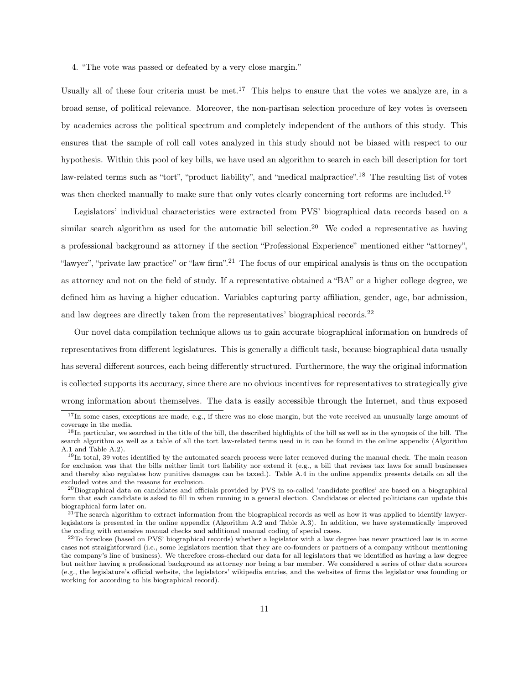4. "The vote was passed or defeated by a very close margin."

Usually all of these four criteria must be met.<sup>17</sup> This helps to ensure that the votes we analyze are, in a broad sense, of political relevance. Moreover, the non-partisan selection procedure of key votes is overseen by academics across the political spectrum and completely independent of the authors of this study. This ensures that the sample of roll call votes analyzed in this study should not be biased with respect to our hypothesis. Within this pool of key bills, we have used an algorithm to search in each bill description for tort law-related terms such as "tort", "product liability", and "medical malpractice".<sup>18</sup> The resulting list of votes was then checked manually to make sure that only votes clearly concerning tort reforms are included.<sup>19</sup>

Legislators' individual characteristics were extracted from PVS' biographical data records based on a similar search algorithm as used for the automatic bill selection.<sup>20</sup> We coded a representative as having a professional background as attorney if the section "Professional Experience" mentioned either "attorney", "lawyer", "private law practice" or "law firm".<sup>21</sup> The focus of our empirical analysis is thus on the occupation as attorney and not on the field of study. If a representative obtained a "BA" or a higher college degree, we defined him as having a higher education. Variables capturing party affiliation, gender, age, bar admission, and law degrees are directly taken from the representatives' biographical records.<sup>22</sup>

Our novel data compilation technique allows us to gain accurate biographical information on hundreds of representatives from different legislatures. This is generally a difficult task, because biographical data usually has several different sources, each being differently structured. Furthermore, the way the original information is collected supports its accuracy, since there are no obvious incentives for representatives to strategically give wrong information about themselves. The data is easily accessible through the Internet, and thus exposed

<sup>&</sup>lt;sup>17</sup>In some cases, exceptions are made, e.g., if there was no close margin, but the vote received an unusually large amount of coverage in the media.

<sup>&</sup>lt;sup>18</sup>In particular, we searched in the title of the bill, the described highlights of the bill as well as in the synopsis of the bill. The search algorithm as well as a table of all the tort law-related terms used in it can be found in the online appendix (Algorithm A.1 and Table A.2).

<sup>&</sup>lt;sup>19</sup>In total, 39 votes identified by the automated search process were later removed during the manual check. The main reason for exclusion was that the bills neither limit tort liability nor extend it (e.g., a bill that revises tax laws for small businesses and thereby also regulates how punitive damages can be taxed.). Table A.4 in the online appendix presents details on all the excluded votes and the reasons for exclusion.

 $^{20}$ Biographical data on candidates and officials provided by PVS in so-called 'candidate profiles' are based on a biographical form that each candidate is asked to fill in when running in a general election. Candidates or elected politicians can update this biographical form later on.

 $21$ The search algorithm to extract information from the biographical records as well as how it was applied to identify lawyerlegislators is presented in the online appendix (Algorithm A.2 and Table A.3). In addition, we have systematically improved the coding with extensive manual checks and additional manual coding of special cases.

 $22$ To foreclose (based on PVS' biographical records) whether a legislator with a law degree has never practiced law is in some cases not straightforward (i.e., some legislators mention that they are co-founders or partners of a company without mentioning the company's line of business). We therefore cross-checked our data for all legislators that we identified as having a law degree but neither having a professional background as attorney nor being a bar member. We considered a series of other data sources (e.g., the legislature's official website, the legislators' wikipedia entries, and the websites of firms the legislator was founding or working for according to his biographical record).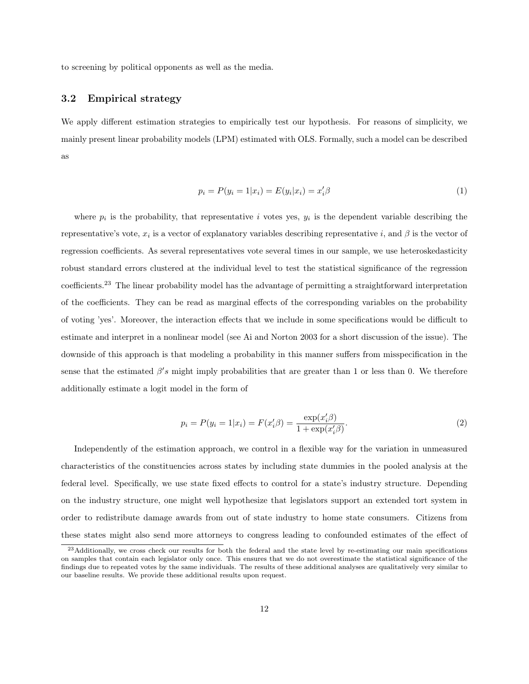to screening by political opponents as well as the media.

#### 3.2 Empirical strategy

We apply different estimation strategies to empirically test our hypothesis. For reasons of simplicity, we mainly present linear probability models (LPM) estimated with OLS. Formally, such a model can be described as

$$
p_i = P(y_i = 1|x_i) = E(y_i|x_i) = x_i'\beta
$$
\n(1)

where  $p_i$  is the probability, that representative *i* votes yes,  $y_i$  is the dependent variable describing the representative's vote,  $x_i$  is a vector of explanatory variables describing representative *i*, and  $\beta$  is the vector of regression coefficients. As several representatives vote several times in our sample, we use heteroskedasticity robust standard errors clustered at the individual level to test the statistical significance of the regression coefficients.<sup>23</sup> The linear probability model has the advantage of permitting a straightforward interpretation of the coefficients. They can be read as marginal effects of the corresponding variables on the probability of voting 'yes'. Moreover, the interaction effects that we include in some specifications would be difficult to estimate and interpret in a nonlinear model (see Ai and Norton 2003 for a short discussion of the issue). The downside of this approach is that modeling a probability in this manner suffers from misspecification in the sense that the estimated  $\beta's$  might imply probabilities that are greater than 1 or less than 0. We therefore additionally estimate a logit model in the form of

$$
p_i = P(y_i = 1 | x_i) = F(x_i' \beta) = \frac{\exp(x_i' \beta)}{1 + \exp(x_i' \beta)}.
$$
\n(2)

Independently of the estimation approach, we control in a flexible way for the variation in unmeasured characteristics of the constituencies across states by including state dummies in the pooled analysis at the federal level. Specifically, we use state fixed effects to control for a state's industry structure. Depending on the industry structure, one might well hypothesize that legislators support an extended tort system in order to redistribute damage awards from out of state industry to home state consumers. Citizens from these states might also send more attorneys to congress leading to confounded estimates of the effect of

<sup>&</sup>lt;sup>23</sup>Additionally, we cross check our results for both the federal and the state level by re-estimating our main specifications on samples that contain each legislator only once. This ensures that we do not overestimate the statistical significance of the findings due to repeated votes by the same individuals. The results of these additional analyses are qualitatively very similar to our baseline results. We provide these additional results upon request.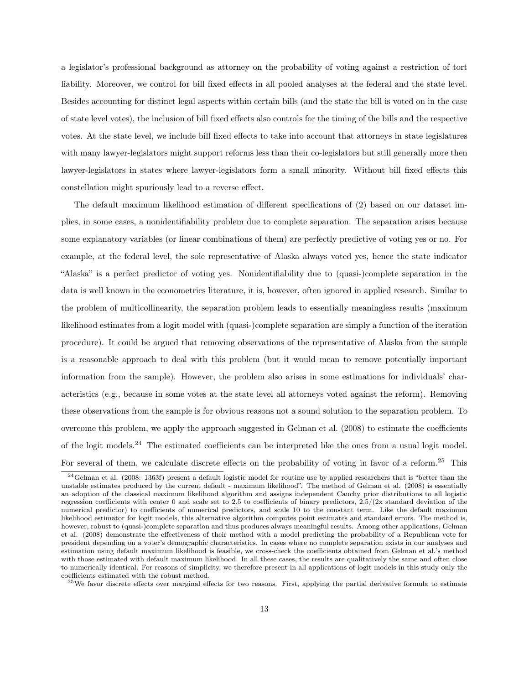a legislator's professional background as attorney on the probability of voting against a restriction of tort liability. Moreover, we control for bill fixed effects in all pooled analyses at the federal and the state level. Besides accounting for distinct legal aspects within certain bills (and the state the bill is voted on in the case of state level votes), the inclusion of bill fixed effects also controls for the timing of the bills and the respective votes. At the state level, we include bill fixed effects to take into account that attorneys in state legislatures with many lawyer-legislators might support reforms less than their co-legislators but still generally more then lawyer-legislators in states where lawyer-legislators form a small minority. Without bill fixed effects this constellation might spuriously lead to a reverse effect.

The default maximum likelihood estimation of different specifications of (2) based on our dataset implies, in some cases, a nonidentifiability problem due to complete separation. The separation arises because some explanatory variables (or linear combinations of them) are perfectly predictive of voting yes or no. For example, at the federal level, the sole representative of Alaska always voted yes, hence the state indicator "Alaska" is a perfect predictor of voting yes. Nonidentifiability due to (quasi-)complete separation in the data is well known in the econometrics literature, it is, however, often ignored in applied research. Similar to the problem of multicollinearity, the separation problem leads to essentially meaningless results (maximum likelihood estimates from a logit model with (quasi-)complete separation are simply a function of the iteration procedure). It could be argued that removing observations of the representative of Alaska from the sample is a reasonable approach to deal with this problem (but it would mean to remove potentially important information from the sample). However, the problem also arises in some estimations for individuals' characteristics (e.g., because in some votes at the state level all attorneys voted against the reform). Removing these observations from the sample is for obvious reasons not a sound solution to the separation problem. To overcome this problem, we apply the approach suggested in Gelman et al. (2008) to estimate the coefficients of the logit models.<sup>24</sup> The estimated coefficients can be interpreted like the ones from a usual logit model. For several of them, we calculate discrete effects on the probability of voting in favor of a reform.<sup>25</sup> This

<sup>24</sup>Gelman et al. (2008: 1363f) present a default logistic model for routine use by applied researchers that is "better than the unstable estimates produced by the current default - maximum likelihood". The method of Gelman et al. (2008) is essentially an adoption of the classical maximum likelihood algorithm and assigns independent Cauchy prior distributions to all logistic regression coefficients with center 0 and scale set to 2.5 to coefficients of binary predictors,  $2.5/(2x)$  standard deviation of the numerical predictor) to coefficients of numerical predictors, and scale 10 to the constant term. Like the default maximum likelihood estimator for logit models, this alternative algorithm computes point estimates and standard errors. The method is, however, robust to (quasi-)complete separation and thus produces always meaningful results. Among other applications, Gelman et al. (2008) demonstrate the effectiveness of their method with a model predicting the probability of a Republican vote for president depending on a voter's demographic characteristics. In cases where no complete separation exists in our analyses and estimation using default maximum likelihood is feasible, we cross-check the coefficients obtained from Gelman et al.'s method with those estimated with default maximum likelihood. In all these cases, the results are qualitatively the same and often close to numerically identical. For reasons of simplicity, we therefore present in all applications of logit models in this study only the coefficients estimated with the robust method.

<sup>&</sup>lt;sup>25</sup>We favor discrete effects over marginal effects for two reasons. First, applying the partial derivative formula to estimate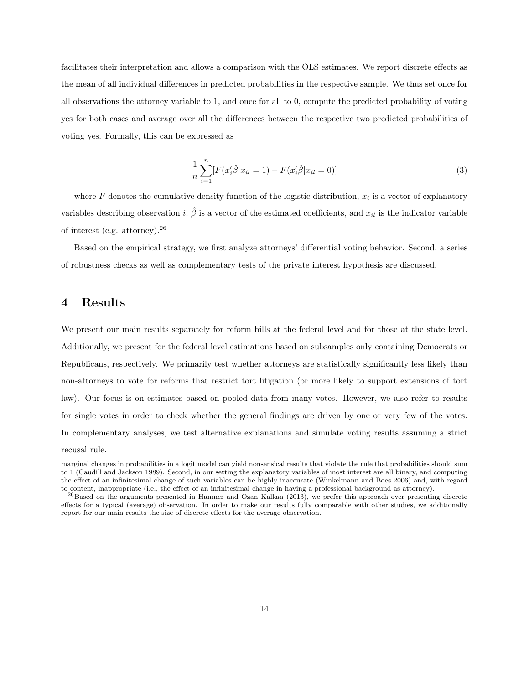facilitates their interpretation and allows a comparison with the OLS estimates. We report discrete effects as the mean of all individual differences in predicted probabilities in the respective sample. We thus set once for all observations the attorney variable to 1, and once for all to 0, compute the predicted probability of voting yes for both cases and average over all the differences between the respective two predicted probabilities of voting yes. Formally, this can be expressed as

$$
\frac{1}{n}\sum_{i=1}^{n}[F(x_i'\hat{\beta}|x_{il}=1) - F(x_i'\hat{\beta}|x_{il}=0)]
$$
\n(3)

where  $F$  denotes the cumulative density function of the logistic distribution,  $x_i$  is a vector of explanatory variables describing observation *i*,  $\hat{\beta}$  is a vector of the estimated coefficients, and  $x_{il}$  is the indicator variable of interest (e.g. attorney).<sup>26</sup>

Based on the empirical strategy, we first analyze attorneys' differential voting behavior. Second, a series of robustness checks as well as complementary tests of the private interest hypothesis are discussed.

### 4 Results

We present our main results separately for reform bills at the federal level and for those at the state level. Additionally, we present for the federal level estimations based on subsamples only containing Democrats or Republicans, respectively. We primarily test whether attorneys are statistically significantly less likely than non-attorneys to vote for reforms that restrict tort litigation (or more likely to support extensions of tort law). Our focus is on estimates based on pooled data from many votes. However, we also refer to results for single votes in order to check whether the general findings are driven by one or very few of the votes. In complementary analyses, we test alternative explanations and simulate voting results assuming a strict recusal rule.

marginal changes in probabilities in a logit model can yield nonsensical results that violate the rule that probabilities should sum to 1 (Caudill and Jackson 1989). Second, in our setting the explanatory variables of most interest are all binary, and computing the effect of an infinitesimal change of such variables can be highly inaccurate (Winkelmann and Boes 2006) and, with regard to content, inappropriate (i.e., the effect of an infinitesimal change in having a professional background as attorney).

 $^{26}$ Based on the arguments presented in Hanmer and Ozan Kalkan (2013), we prefer this approach over presenting discrete effects for a typical (average) observation. In order to make our results fully comparable with other studies, we additionally report for our main results the size of discrete effects for the average observation.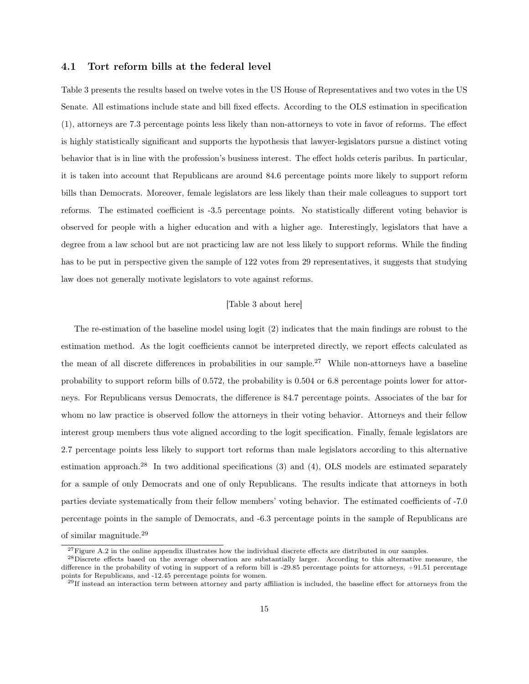#### 4.1 Tort reform bills at the federal level

Table 3 presents the results based on twelve votes in the US House of Representatives and two votes in the US Senate. All estimations include state and bill fixed effects. According to the OLS estimation in specification (1), attorneys are 7.3 percentage points less likely than non-attorneys to vote in favor of reforms. The effect is highly statistically significant and supports the hypothesis that lawyer-legislators pursue a distinct voting behavior that is in line with the profession's business interest. The effect holds ceteris paribus. In particular, it is taken into account that Republicans are around 84.6 percentage points more likely to support reform bills than Democrats. Moreover, female legislators are less likely than their male colleagues to support tort reforms. The estimated coefficient is -3.5 percentage points. No statistically different voting behavior is observed for people with a higher education and with a higher age. Interestingly, legislators that have a degree from a law school but are not practicing law are not less likely to support reforms. While the finding has to be put in perspective given the sample of 122 votes from 29 representatives, it suggests that studying law does not generally motivate legislators to vote against reforms.

#### [Table 3 about here]

The re-estimation of the baseline model using logit (2) indicates that the main findings are robust to the estimation method. As the logit coefficients cannot be interpreted directly, we report effects calculated as the mean of all discrete differences in probabilities in our sample.<sup>27</sup> While non-attorneys have a baseline probability to support reform bills of 0.572, the probability is 0.504 or 6.8 percentage points lower for attorneys. For Republicans versus Democrats, the difference is 84.7 percentage points. Associates of the bar for whom no law practice is observed follow the attorneys in their voting behavior. Attorneys and their fellow interest group members thus vote aligned according to the logit specification. Finally, female legislators are 2.7 percentage points less likely to support tort reforms than male legislators according to this alternative estimation approach.<sup>28</sup> In two additional specifications  $(3)$  and  $(4)$ , OLS models are estimated separately for a sample of only Democrats and one of only Republicans. The results indicate that attorneys in both parties deviate systematically from their fellow members' voting behavior. The estimated coefficients of -7.0 percentage points in the sample of Democrats, and -6.3 percentage points in the sample of Republicans are of similar magnitude.<sup>29</sup>

 $27$ Figure A.2 in the online appendix illustrates how the individual discrete effects are distributed in our samples.

 $^{28}$ Discrete effects based on the average observation are substantially larger. According to this alternative measure, the difference in the probability of voting in support of a reform bill is -29.85 percentage points for attorneys, +91.51 percentage points for Republicans, and -12.45 percentage points for women.

 $^{29}$ If instead an interaction term between attorney and party affiliation is included, the baseline effect for attorneys from the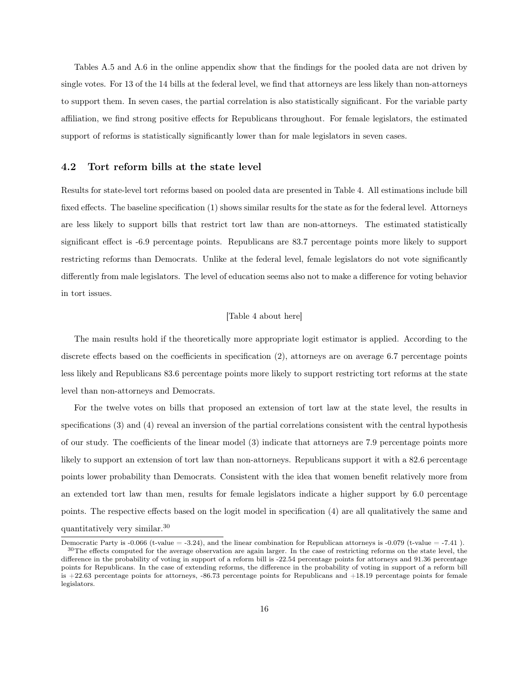Tables A.5 and A.6 in the online appendix show that the findings for the pooled data are not driven by single votes. For 13 of the 14 bills at the federal level, we find that attorneys are less likely than non-attorneys to support them. In seven cases, the partial correlation is also statistically significant. For the variable party affiliation, we find strong positive effects for Republicans throughout. For female legislators, the estimated support of reforms is statistically significantly lower than for male legislators in seven cases.

#### 4.2 Tort reform bills at the state level

Results for state-level tort reforms based on pooled data are presented in Table 4. All estimations include bill fixed effects. The baseline specification (1) shows similar results for the state as for the federal level. Attorneys are less likely to support bills that restrict tort law than are non-attorneys. The estimated statistically significant effect is -6.9 percentage points. Republicans are 83.7 percentage points more likely to support restricting reforms than Democrats. Unlike at the federal level, female legislators do not vote significantly differently from male legislators. The level of education seems also not to make a difference for voting behavior in tort issues.

#### [Table 4 about here]

The main results hold if the theoretically more appropriate logit estimator is applied. According to the discrete effects based on the coefficients in specification (2), attorneys are on average 6.7 percentage points less likely and Republicans 83.6 percentage points more likely to support restricting tort reforms at the state level than non-attorneys and Democrats.

For the twelve votes on bills that proposed an extension of tort law at the state level, the results in specifications (3) and (4) reveal an inversion of the partial correlations consistent with the central hypothesis of our study. The coefficients of the linear model (3) indicate that attorneys are 7.9 percentage points more likely to support an extension of tort law than non-attorneys. Republicans support it with a 82.6 percentage points lower probability than Democrats. Consistent with the idea that women benefit relatively more from an extended tort law than men, results for female legislators indicate a higher support by 6.0 percentage points. The respective effects based on the logit model in specification (4) are all qualitatively the same and quantitatively very similar.<sup>30</sup>

Democratic Party is -0.066 (t-value  $= -3.24$ ), and the linear combination for Republican attorneys is -0.079 (t-value  $= -7.41$ ).  $30$ The effects computed for the average observation are again larger. In the case of restricting reforms on the state level, the difference in the probability of voting in support of a reform bill is -22.54 percentage points for attorneys and 91.36 percentage points for Republicans. In the case of extending reforms, the difference in the probability of voting in support of a reform bill is +22.63 percentage points for attorneys, -86.73 percentage points for Republicans and +18.19 percentage points for female legislators.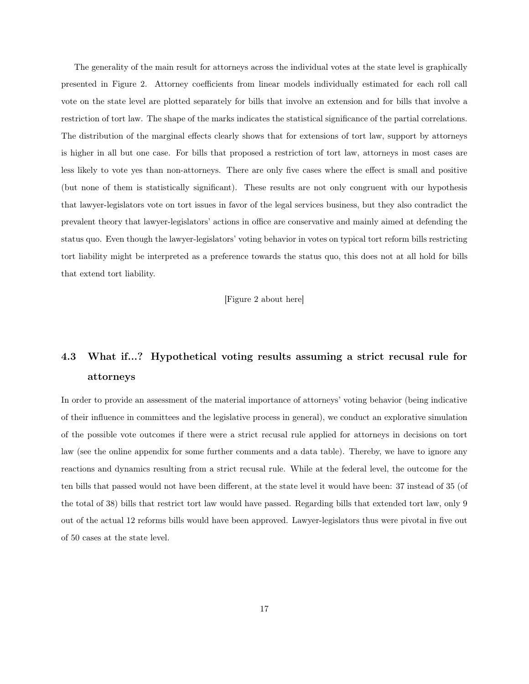The generality of the main result for attorneys across the individual votes at the state level is graphically presented in Figure 2. Attorney coefficients from linear models individually estimated for each roll call vote on the state level are plotted separately for bills that involve an extension and for bills that involve a restriction of tort law. The shape of the marks indicates the statistical significance of the partial correlations. The distribution of the marginal effects clearly shows that for extensions of tort law, support by attorneys is higher in all but one case. For bills that proposed a restriction of tort law, attorneys in most cases are less likely to vote yes than non-attorneys. There are only five cases where the effect is small and positive (but none of them is statistically significant). These results are not only congruent with our hypothesis that lawyer-legislators vote on tort issues in favor of the legal services business, but they also contradict the prevalent theory that lawyer-legislators' actions in office are conservative and mainly aimed at defending the status quo. Even though the lawyer-legislators' voting behavior in votes on typical tort reform bills restricting tort liability might be interpreted as a preference towards the status quo, this does not at all hold for bills that extend tort liability.

[Figure 2 about here]

# 4.3 What if...? Hypothetical voting results assuming a strict recusal rule for attorneys

In order to provide an assessment of the material importance of attorneys' voting behavior (being indicative of their influence in committees and the legislative process in general), we conduct an explorative simulation of the possible vote outcomes if there were a strict recusal rule applied for attorneys in decisions on tort law (see the online appendix for some further comments and a data table). Thereby, we have to ignore any reactions and dynamics resulting from a strict recusal rule. While at the federal level, the outcome for the ten bills that passed would not have been different, at the state level it would have been: 37 instead of 35 (of the total of 38) bills that restrict tort law would have passed. Regarding bills that extended tort law, only 9 out of the actual 12 reforms bills would have been approved. Lawyer-legislators thus were pivotal in five out of 50 cases at the state level.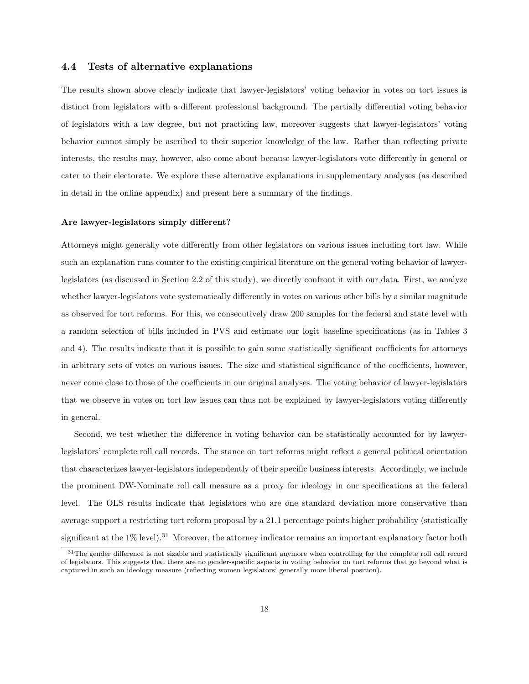#### 4.4 Tests of alternative explanations

The results shown above clearly indicate that lawyer-legislators' voting behavior in votes on tort issues is distinct from legislators with a different professional background. The partially differential voting behavior of legislators with a law degree, but not practicing law, moreover suggests that lawyer-legislators' voting behavior cannot simply be ascribed to their superior knowledge of the law. Rather than reflecting private interests, the results may, however, also come about because lawyer-legislators vote differently in general or cater to their electorate. We explore these alternative explanations in supplementary analyses (as described in detail in the online appendix) and present here a summary of the findings.

#### Are lawyer-legislators simply different?

Attorneys might generally vote differently from other legislators on various issues including tort law. While such an explanation runs counter to the existing empirical literature on the general voting behavior of lawyerlegislators (as discussed in Section 2.2 of this study), we directly confront it with our data. First, we analyze whether lawyer-legislators vote systematically differently in votes on various other bills by a similar magnitude as observed for tort reforms. For this, we consecutively draw 200 samples for the federal and state level with a random selection of bills included in PVS and estimate our logit baseline specifications (as in Tables 3 and 4). The results indicate that it is possible to gain some statistically significant coefficients for attorneys in arbitrary sets of votes on various issues. The size and statistical significance of the coefficients, however, never come close to those of the coefficients in our original analyses. The voting behavior of lawyer-legislators that we observe in votes on tort law issues can thus not be explained by lawyer-legislators voting differently in general.

Second, we test whether the difference in voting behavior can be statistically accounted for by lawyerlegislators' complete roll call records. The stance on tort reforms might reflect a general political orientation that characterizes lawyer-legislators independently of their specific business interests. Accordingly, we include the prominent DW-Nominate roll call measure as a proxy for ideology in our specifications at the federal level. The OLS results indicate that legislators who are one standard deviation more conservative than average support a restricting tort reform proposal by a 21.1 percentage points higher probability (statistically significant at the 1% level).<sup>31</sup> Moreover, the attorney indicator remains an important explanatory factor both

<sup>&</sup>lt;sup>31</sup>The gender difference is not sizable and statistically significant anymore when controlling for the complete roll call record of legislators. This suggests that there are no gender-specific aspects in voting behavior on tort reforms that go beyond what is captured in such an ideology measure (reflecting women legislators' generally more liberal position).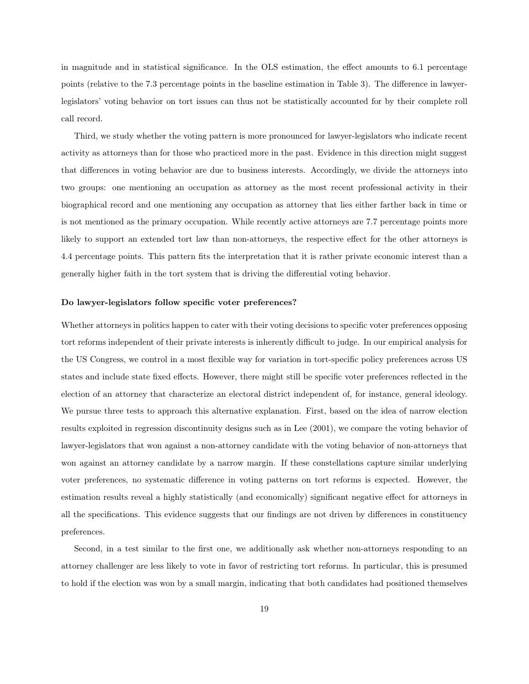in magnitude and in statistical significance. In the OLS estimation, the effect amounts to 6.1 percentage points (relative to the 7.3 percentage points in the baseline estimation in Table 3). The difference in lawyerlegislators' voting behavior on tort issues can thus not be statistically accounted for by their complete roll call record.

Third, we study whether the voting pattern is more pronounced for lawyer-legislators who indicate recent activity as attorneys than for those who practiced more in the past. Evidence in this direction might suggest that differences in voting behavior are due to business interests. Accordingly, we divide the attorneys into two groups: one mentioning an occupation as attorney as the most recent professional activity in their biographical record and one mentioning any occupation as attorney that lies either farther back in time or is not mentioned as the primary occupation. While recently active attorneys are 7.7 percentage points more likely to support an extended tort law than non-attorneys, the respective effect for the other attorneys is 4.4 percentage points. This pattern fits the interpretation that it is rather private economic interest than a generally higher faith in the tort system that is driving the differential voting behavior.

#### Do lawyer-legislators follow specific voter preferences?

Whether attorneys in politics happen to cater with their voting decisions to specific voter preferences opposing tort reforms independent of their private interests is inherently difficult to judge. In our empirical analysis for the US Congress, we control in a most flexible way for variation in tort-specific policy preferences across US states and include state fixed effects. However, there might still be specific voter preferences reflected in the election of an attorney that characterize an electoral district independent of, for instance, general ideology. We pursue three tests to approach this alternative explanation. First, based on the idea of narrow election results exploited in regression discontinuity designs such as in Lee (2001), we compare the voting behavior of lawyer-legislators that won against a non-attorney candidate with the voting behavior of non-attorneys that won against an attorney candidate by a narrow margin. If these constellations capture similar underlying voter preferences, no systematic difference in voting patterns on tort reforms is expected. However, the estimation results reveal a highly statistically (and economically) significant negative effect for attorneys in all the specifications. This evidence suggests that our findings are not driven by differences in constituency preferences.

Second, in a test similar to the first one, we additionally ask whether non-attorneys responding to an attorney challenger are less likely to vote in favor of restricting tort reforms. In particular, this is presumed to hold if the election was won by a small margin, indicating that both candidates had positioned themselves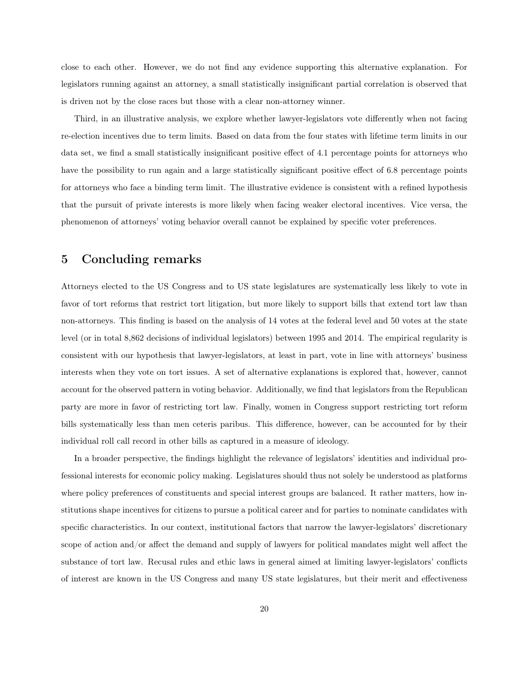close to each other. However, we do not find any evidence supporting this alternative explanation. For legislators running against an attorney, a small statistically insignificant partial correlation is observed that is driven not by the close races but those with a clear non-attorney winner.

Third, in an illustrative analysis, we explore whether lawyer-legislators vote differently when not facing re-election incentives due to term limits. Based on data from the four states with lifetime term limits in our data set, we find a small statistically insignificant positive effect of 4.1 percentage points for attorneys who have the possibility to run again and a large statistically significant positive effect of 6.8 percentage points for attorneys who face a binding term limit. The illustrative evidence is consistent with a refined hypothesis that the pursuit of private interests is more likely when facing weaker electoral incentives. Vice versa, the phenomenon of attorneys' voting behavior overall cannot be explained by specific voter preferences.

### 5 Concluding remarks

Attorneys elected to the US Congress and to US state legislatures are systematically less likely to vote in favor of tort reforms that restrict tort litigation, but more likely to support bills that extend tort law than non-attorneys. This finding is based on the analysis of 14 votes at the federal level and 50 votes at the state level (or in total 8,862 decisions of individual legislators) between 1995 and 2014. The empirical regularity is consistent with our hypothesis that lawyer-legislators, at least in part, vote in line with attorneys' business interests when they vote on tort issues. A set of alternative explanations is explored that, however, cannot account for the observed pattern in voting behavior. Additionally, we find that legislators from the Republican party are more in favor of restricting tort law. Finally, women in Congress support restricting tort reform bills systematically less than men ceteris paribus. This difference, however, can be accounted for by their individual roll call record in other bills as captured in a measure of ideology.

In a broader perspective, the findings highlight the relevance of legislators' identities and individual professional interests for economic policy making. Legislatures should thus not solely be understood as platforms where policy preferences of constituents and special interest groups are balanced. It rather matters, how institutions shape incentives for citizens to pursue a political career and for parties to nominate candidates with specific characteristics. In our context, institutional factors that narrow the lawyer-legislators' discretionary scope of action and/or affect the demand and supply of lawyers for political mandates might well affect the substance of tort law. Recusal rules and ethic laws in general aimed at limiting lawyer-legislators' conflicts of interest are known in the US Congress and many US state legislatures, but their merit and effectiveness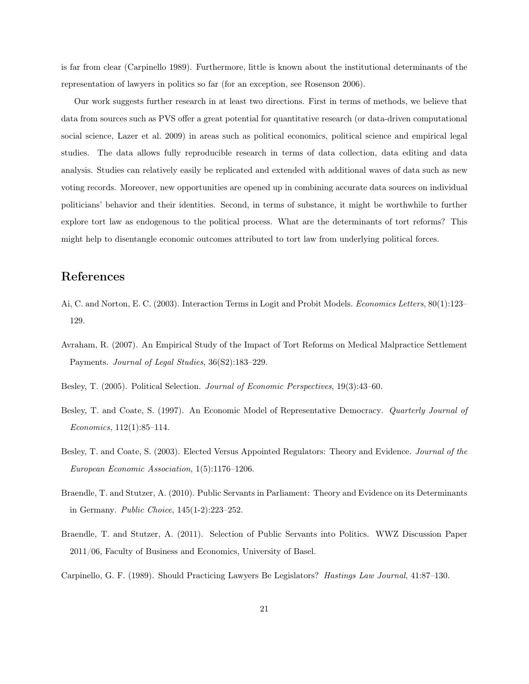is far from clear (Carpinello 1989). Furthermore, little is known about the institutional determinants of the representation of lawyers in politics so far (for an exception, see Rosenson 2006).

Our work suggests further research in at least two directions. First in terms of methods, we believe that data from sources such as PVS offer a great potential for quantitative research (or data-driven computational social science, Lazer et al. 2009) in areas such as political economics, political science and empirical legal studies. The data allows fully reproducible research in terms of data collection, data editing and data analysis. Studies can relatively easily be replicated and extended with additional waves of data such as new voting records. Moreover, new opportunities are opened up in combining accurate data sources on individual politicians' behavior and their identities. Second, in terms of substance, it might be worthwhile to further explore tort law as endogenous to the political process. What are the determinants of tort reforms? This might help to disentangle economic outcomes attributed to tort law from underlying political forces.

## References

- Ai, C. and Norton, E. C. (2003). Interaction Terms in Logit and Probit Models. *Economics Letters*, 80(1):123– 129.
- Avraham, R. (2007). An Empirical Study of the Impact of Tort Reforms on Medical Malpractice Settlement Payments. *Journal of Legal Studies*, 36(S2):183–229.
- Besley, T. (2005). Political Selection. *Journal of Economic Perspectives*, 19(3):43–60.
- Besley, T. and Coate, S. (1997). An Economic Model of Representative Democracy. *Quarterly Journal of Economics*, 112(1):85–114.
- Besley, T. and Coate, S. (2003). Elected Versus Appointed Regulators: Theory and Evidence. *Journal of the European Economic Association*, 1(5):1176–1206.
- Braendle, T. and Stutzer, A. (2010). Public Servants in Parliament: Theory and Evidence on its Determinants in Germany. *Public Choice*, 145(1-2):223–252.
- Braendle, T. and Stutzer, A. (2011). Selection of Public Servants into Politics. WWZ Discussion Paper 2011/06, Faculty of Business and Economics, University of Basel.
- Carpinello, G. F. (1989). Should Practicing Lawyers Be Legislators? *Hastings Law Journal*, 41:87–130.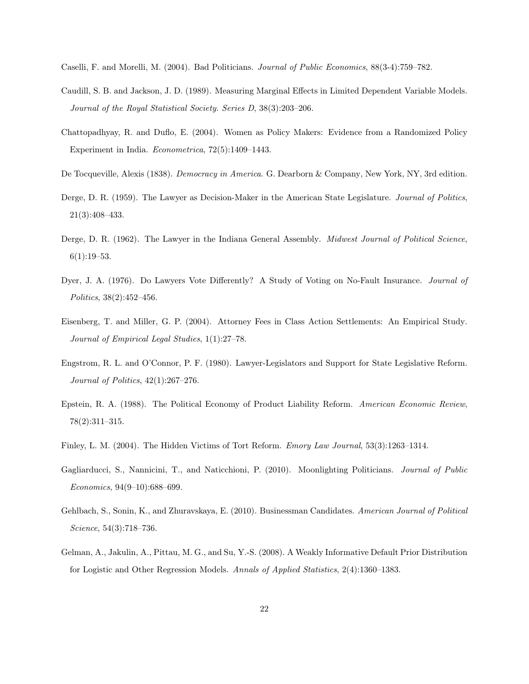- Caselli, F. and Morelli, M. (2004). Bad Politicians. *Journal of Public Economics*, 88(3-4):759–782.
- Caudill, S. B. and Jackson, J. D. (1989). Measuring Marginal Effects in Limited Dependent Variable Models. *Journal of the Royal Statistical Society. Series D*, 38(3):203–206.
- Chattopadhyay, R. and Duflo, E. (2004). Women as Policy Makers: Evidence from a Randomized Policy Experiment in India. *Econometrica*, 72(5):1409–1443.
- De Tocqueville, Alexis (1838). *Democracy in America*. G. Dearborn & Company, New York, NY, 3rd edition.
- Derge, D. R. (1959). The Lawyer as Decision-Maker in the American State Legislature. *Journal of Politics*, 21(3):408–433.
- Derge, D. R. (1962). The Lawyer in the Indiana General Assembly. *Midwest Journal of Political Science*,  $6(1):19-53.$
- Dyer, J. A. (1976). Do Lawyers Vote Differently? A Study of Voting on No-Fault Insurance. *Journal of Politics*, 38(2):452–456.
- Eisenberg, T. and Miller, G. P. (2004). Attorney Fees in Class Action Settlements: An Empirical Study. *Journal of Empirical Legal Studies*, 1(1):27–78.
- Engstrom, R. L. and O'Connor, P. F. (1980). Lawyer-Legislators and Support for State Legislative Reform. *Journal of Politics*, 42(1):267–276.
- Epstein, R. A. (1988). The Political Economy of Product Liability Reform. *American Economic Review*, 78(2):311–315.
- Finley, L. M. (2004). The Hidden Victims of Tort Reform. *Emory Law Journal*, 53(3):1263–1314.
- Gagliarducci, S., Nannicini, T., and Naticchioni, P. (2010). Moonlighting Politicians. *Journal of Public Economics*, 94(9–10):688–699.
- Gehlbach, S., Sonin, K., and Zhuravskaya, E. (2010). Businessman Candidates. *American Journal of Political Science*, 54(3):718–736.
- Gelman, A., Jakulin, A., Pittau, M. G., and Su, Y.-S. (2008). A Weakly Informative Default Prior Distribution for Logistic and Other Regression Models. *Annals of Applied Statistics*, 2(4):1360–1383.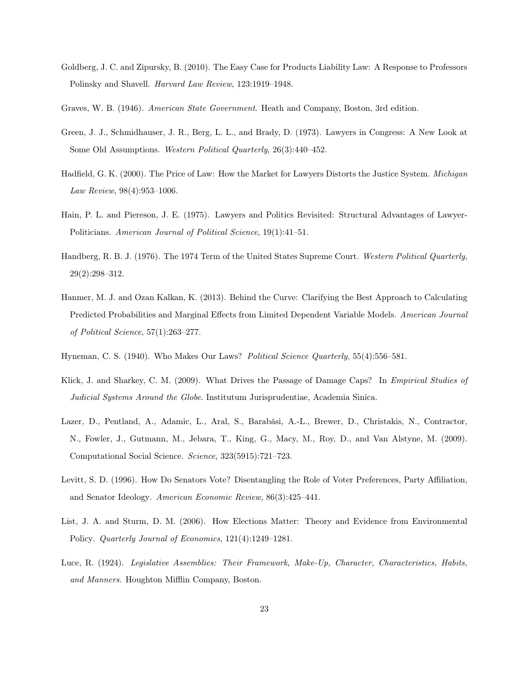- Goldberg, J. C. and Zipursky, B. (2010). The Easy Case for Products Liability Law: A Response to Professors Polinsky and Shavell. *Harvard Law Review*, 123:1919–1948.
- Graves, W. B. (1946). *American State Government*. Heath and Company, Boston, 3rd edition.
- Green, J. J., Schmidhauser, J. R., Berg, L. L., and Brady, D. (1973). Lawyers in Congress: A New Look at Some Old Assumptions. *Western Political Quarterly*, 26(3):440–452.
- Hadfield, G. K. (2000). The Price of Law: How the Market for Lawyers Distorts the Justice System. *Michigan Law Review*, 98(4):953–1006.
- Hain, P. L. and Piereson, J. E. (1975). Lawyers and Politics Revisited: Structural Advantages of Lawyer-Politicians. *American Journal of Political Science*, 19(1):41–51.
- Handberg, R. B. J. (1976). The 1974 Term of the United States Supreme Court. *Western Political Quarterly*, 29(2):298–312.
- Hanmer, M. J. and Ozan Kalkan, K. (2013). Behind the Curve: Clarifying the Best Approach to Calculating Predicted Probabilities and Marginal Effects from Limited Dependent Variable Models. *American Journal of Political Science*, 57(1):263–277.
- Hyneman, C. S. (1940). Who Makes Our Laws? *Political Science Quarterly*, 55(4):556–581.
- Klick, J. and Sharkey, C. M. (2009). What Drives the Passage of Damage Caps? In *Empirical Studies of Judicial Systems Around the Globe*. Institutum Jurisprudentiae, Academia Sinica.
- Lazer, D., Pentland, A., Adamic, L., Aral, S., Barabási, A.-L., Brewer, D., Christakis, N., Contractor, N., Fowler, J., Gutmann, M., Jebara, T., King, G., Macy, M., Roy, D., and Van Alstyne, M. (2009). Computational Social Science. *Science*, 323(5915):721–723.
- Levitt, S. D. (1996). How Do Senators Vote? Disentangling the Role of Voter Preferences, Party Affiliation, and Senator Ideology. *American Economic Review*, 86(3):425–441.
- List, J. A. and Sturm, D. M. (2006). How Elections Matter: Theory and Evidence from Environmental Policy. *Quarterly Journal of Economics*, 121(4):1249–1281.
- Luce, R. (1924). *Legislative Assemblies: Their Framework, Make-Up, Character, Characteristics, Habits, and Manners*. Houghton Mifflin Company, Boston.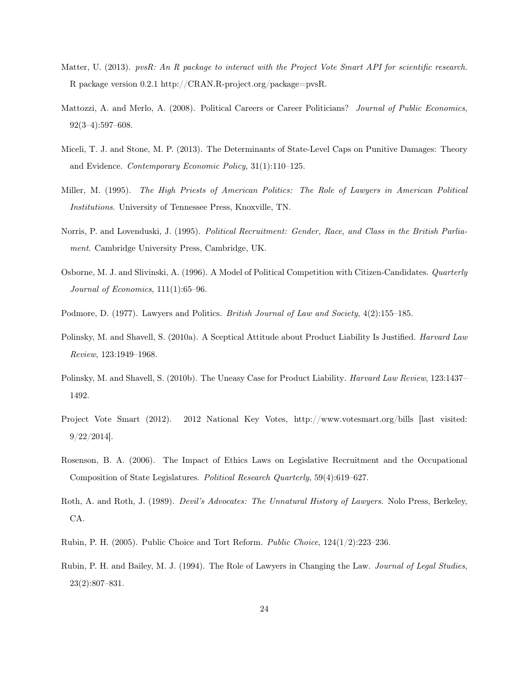- Matter, U. (2013). *pvsR: An R package to interact with the Project Vote Smart API for scientific research*. R package version 0.2.1 http://CRAN.R-project.org/package=pvsR.
- Mattozzi, A. and Merlo, A. (2008). Political Careers or Career Politicians? *Journal of Public Economics*, 92(3–4):597–608.
- Miceli, T. J. and Stone, M. P. (2013). The Determinants of State-Level Caps on Punitive Damages: Theory and Evidence. *Contemporary Economic Policy*, 31(1):110–125.
- Miller, M. (1995). *The High Priests of American Politics: The Role of Lawyers in American Political Institutions*. University of Tennessee Press, Knoxville, TN.
- Norris, P. and Lovenduski, J. (1995). *Political Recruitment: Gender, Race, and Class in the British Parliament*. Cambridge University Press, Cambridge, UK.
- Osborne, M. J. and Slivinski, A. (1996). A Model of Political Competition with Citizen-Candidates. *Quarterly Journal of Economics*, 111(1):65–96.
- Podmore, D. (1977). Lawyers and Politics. *British Journal of Law and Society*, 4(2):155–185.
- Polinsky, M. and Shavell, S. (2010a). A Sceptical Attitude about Product Liability Is Justified. *Harvard Law Review*, 123:1949–1968.
- Polinsky, M. and Shavell, S. (2010b). The Uneasy Case for Product Liability. *Harvard Law Review*, 123:1437– 1492.
- Project Vote Smart (2012). 2012 National Key Votes, http://www.votesmart.org/bills [last visited: 9/22/2014].
- Rosenson, B. A. (2006). The Impact of Ethics Laws on Legislative Recruitment and the Occupational Composition of State Legislatures. *Political Research Quarterly*, 59(4):619–627.
- Roth, A. and Roth, J. (1989). *Devil's Advocates: The Unnatural History of Lawyers*. Nolo Press, Berkeley, CA.
- Rubin, P. H. (2005). Public Choice and Tort Reform. *Public Choice*, 124(1/2):223–236.
- Rubin, P. H. and Bailey, M. J. (1994). The Role of Lawyers in Changing the Law. *Journal of Legal Studies*, 23(2):807–831.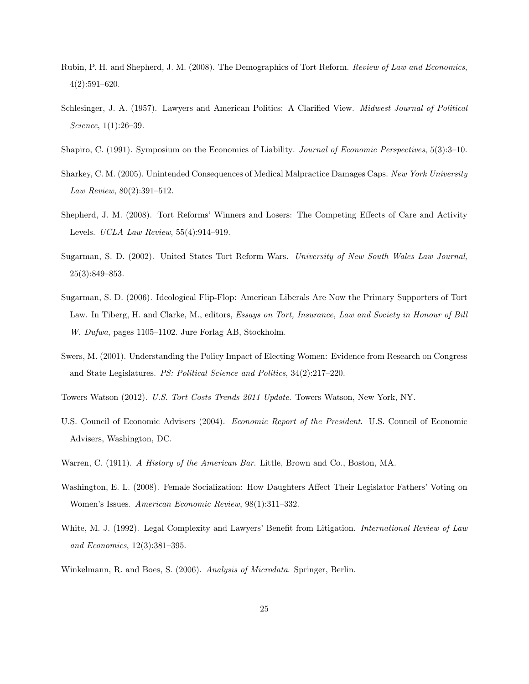- Rubin, P. H. and Shepherd, J. M. (2008). The Demographics of Tort Reform. *Review of Law and Economics*, 4(2):591–620.
- Schlesinger, J. A. (1957). Lawyers and American Politics: A Clarified View. *Midwest Journal of Political Science*, 1(1):26–39.
- Shapiro, C. (1991). Symposium on the Economics of Liability. *Journal of Economic Perspectives*, 5(3):3–10.
- Sharkey, C. M. (2005). Unintended Consequences of Medical Malpractice Damages Caps. *New York University Law Review*, 80(2):391–512.
- Shepherd, J. M. (2008). Tort Reforms' Winners and Losers: The Competing Effects of Care and Activity Levels. *UCLA Law Review*, 55(4):914–919.
- Sugarman, S. D. (2002). United States Tort Reform Wars. *University of New South Wales Law Journal*, 25(3):849–853.
- Sugarman, S. D. (2006). Ideological Flip-Flop: American Liberals Are Now the Primary Supporters of Tort Law. In Tiberg, H. and Clarke, M., editors, *Essays on Tort, Insurance, Law and Society in Honour of Bill W. Dufwa*, pages 1105–1102. Jure Forlag AB, Stockholm.
- Swers, M. (2001). Understanding the Policy Impact of Electing Women: Evidence from Research on Congress and State Legislatures. *PS: Political Science and Politics*, 34(2):217–220.
- Towers Watson (2012). *U.S. Tort Costs Trends 2011 Update*. Towers Watson, New York, NY.
- U.S. Council of Economic Advisers (2004). *Economic Report of the President*. U.S. Council of Economic Advisers, Washington, DC.
- Warren, C. (1911). *A History of the American Bar*. Little, Brown and Co., Boston, MA.
- Washington, E. L. (2008). Female Socialization: How Daughters Affect Their Legislator Fathers' Voting on Women's Issues. *American Economic Review*, 98(1):311–332.
- White, M. J. (1992). Legal Complexity and Lawyers' Benefit from Litigation. *International Review of Law and Economics*, 12(3):381–395.
- Winkelmann, R. and Boes, S. (2006). *Analysis of Microdata*. Springer, Berlin.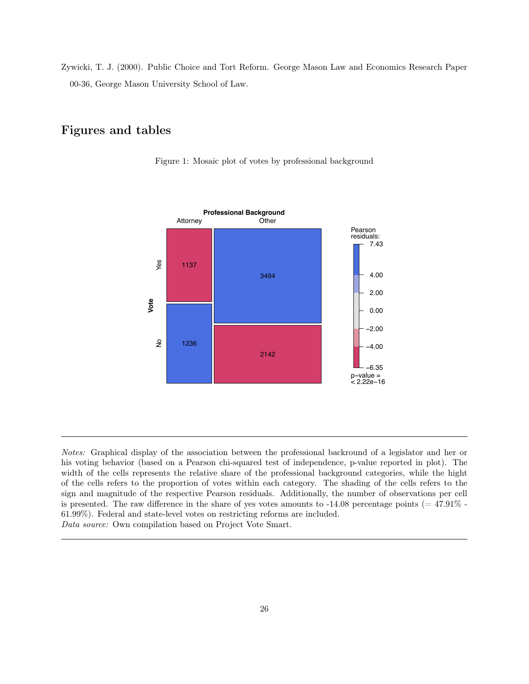Zywicki, T. J. (2000). Public Choice and Tort Reform. George Mason Law and Economics Research Paper 00-36, George Mason University School of Law.

### Figures and tables





*Notes:* Graphical display of the association between the professional backround of a legislator and her or his voting behavior (based on a Pearson chi-squared test of independence, p-value reported in plot). The width of the cells represents the relative share of the professional background categories, while the hight of the cells refers to the proportion of votes within each category. The shading of the cells refers to the sign and magnitude of the respective Pearson residuals. Additionally, the number of observations per cell is presented. The raw difference in the share of yes votes amounts to  $-14.08$  percentage points ( $= 47.91\%$ ) 61.99%). Federal and state-level votes on restricting reforms are included. *Data source:* Own compilation based on Project Vote Smart.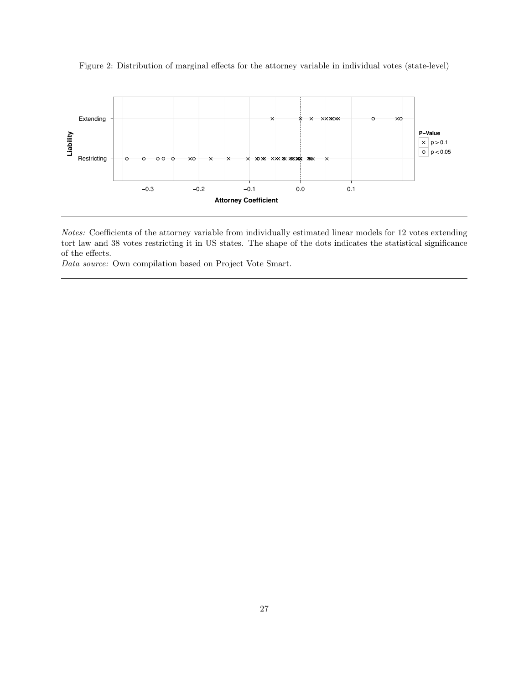

Figure 2: Distribution of marginal effects for the attorney variable in individual votes (state-level)

*Notes:* Coefficients of the attorney variable from individually estimated linear models for 12 votes extending tort law and 38 votes restricting it in US states. The shape of the dots indicates the statistical significance of the effects.

*Data source:* Own compilation based on Project Vote Smart.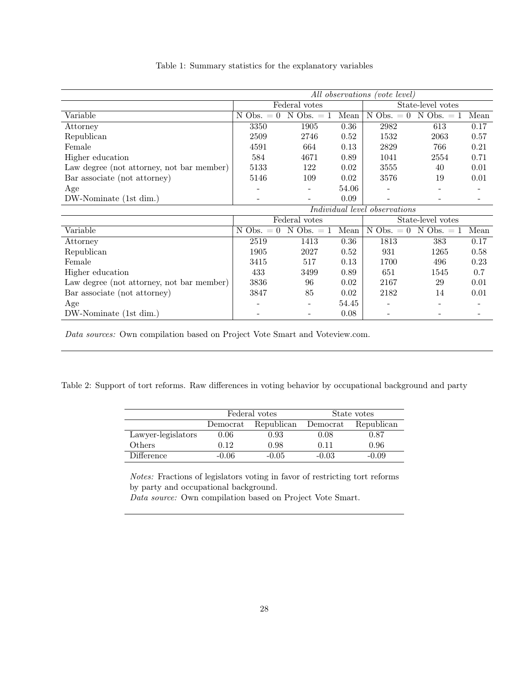|                                           |                |                |       | All observations (vote level) |                   |      |
|-------------------------------------------|----------------|----------------|-------|-------------------------------|-------------------|------|
|                                           |                | Federal votes  |       |                               | State-level votes |      |
| Variable                                  | $N$ Obs. $= 0$ | $N$ Obs. $= 1$ | Mean  | $N$ Obs. $= 0$                | $N$ Obs. $= 1$    | Mean |
| Attorney                                  | 3350           | 1905           | 0.36  | 2982                          | 613               | 0.17 |
| Republican                                | 2509           | 2746           | 0.52  | 1532                          | 2063              | 0.57 |
| Female                                    | 4591           | 664            | 0.13  | 2829                          | 766               | 0.21 |
| Higher education                          | 584            | 4671           | 0.89  | 1041                          | 2554              | 0.71 |
| Law degree (not attorney, not bar member) | 5133           | 122            | 0.02  | 3555                          | 40                | 0.01 |
| Bar associate (not attorney)              | 5146           | 109            | 0.02  | 3576                          | 19                | 0.01 |
| Age                                       |                |                | 54.06 |                               |                   | -    |
| DW-Nominate (1st dim.)                    |                |                | 0.09  |                               |                   |      |
|                                           |                |                |       | Individual level observations |                   |      |
|                                           |                | Federal votes  |       |                               | State-level votes |      |
| Variable                                  | $N$ Obs. $= 0$ | $N$ Obs. $= 1$ | Mean  | $N$ Obs. $= 0$                | $N$ Obs. $= 1$    | Mean |
| Attorney                                  | 2519           | 1413           | 0.36  | 1813                          | 383               | 0.17 |
| Republican                                | 1905           | 2027           | 0.52  | 931                           | 1265              | 0.58 |
| Female                                    | 3415           | 517            | 0.13  | 1700                          | 496               | 0.23 |
| Higher education                          | 433            | 3499           | 0.89  | 651                           | 1545              | 0.7  |
| Law degree (not attorney, not bar member) | 3836           | 96             | 0.02  | 2167                          | 29                | 0.01 |
| Bar associate (not attorney)              | 3847           | 85             | 0.02  | 2182                          | 14                | 0.01 |
| Age                                       |                |                | 54.45 |                               |                   |      |
| DW-Nominate (1st dim.)                    |                |                | 0.08  |                               |                   |      |

Table 1: Summary statistics for the explanatory variables

*Data sources:* Own compilation based on Project Vote Smart and Voteview.com.

Table 2: Support of tort reforms. Raw differences in voting behavior by occupational background and party

|                    |          | Federal votes |          | State votes |
|--------------------|----------|---------------|----------|-------------|
|                    | Democrat | Republican    | Democrat | Republican  |
| Lawyer-legislators | 0.06     | $\rm 0.93$    | 0.08     | 0.87        |
| Others             | 0.12     | 0.98          | 0.11     | 0.96        |
| Difference         | -0.06    | $-0.05$       | $-0.03$  | $-0.09$     |

*Notes:* Fractions of legislators voting in favor of restricting tort reforms by party and occupational background.

*Data source:* Own compilation based on Project Vote Smart.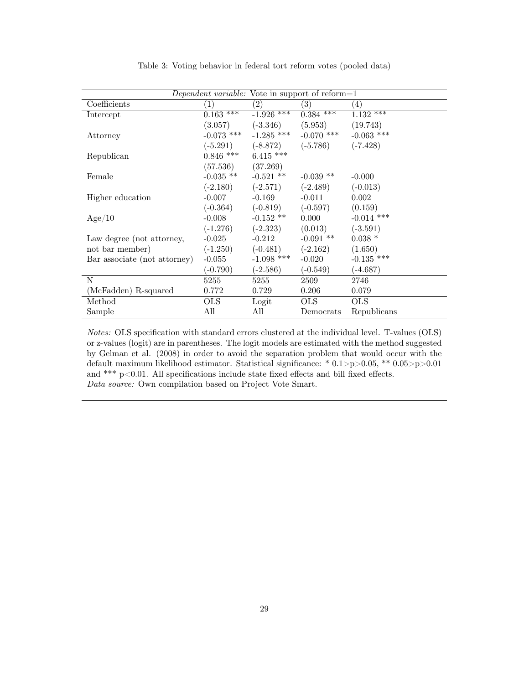|                              |                         |                                  | Dependent variable: Vote in support of reform=1 |                   |
|------------------------------|-------------------------|----------------------------------|-------------------------------------------------|-------------------|
| Coefficients                 | (1)                     | (2)                              | (3)                                             | $\left( 4\right)$ |
| Intercept                    | $0.163$ ***             | $-1.926$ ***                     | $0.384$ ***                                     | $1.132***$        |
|                              |                         |                                  | $(3.057)$ $(-3.346)$ $(5.953)$ $(19.743)$       |                   |
| Attorney                     |                         |                                  | $-0.073$ *** $-1.285$ *** $-0.070$ ***          | $-0.063$ ***      |
|                              |                         |                                  | $(-5.291)$ $(-8.872)$ $(-5.786)$                | $(-7.428)$        |
| Republican                   | $0.846$ *** $6.415$ *** |                                  |                                                 |                   |
|                              | $(57.536)$ $(37.269)$   |                                  |                                                 |                   |
| Female                       |                         | $-0.035$ ** $-0.521$ **          | $-0.039$ **                                     | $-0.000$          |
|                              |                         | $(-2.180)$ $(-2.571)$ $(-2.489)$ |                                                 | $(-0.013)$        |
| Higher education             | $-0.007$                | $-0.169$                         | $-0.011$                                        | 0.002             |
|                              |                         |                                  | $(-0.364)$ $(-0.819)$ $(-0.597)$                | (0.159)           |
| Age/10                       | $-0.008$                | $-0.152$ **                      | 0.000                                           | $-0.014$ ***      |
|                              |                         | $(-1.276)$ $(-2.323)$            | (0.013)                                         | $(-3.591)$        |
| Law degree (not attorney,    | $-0.025$                | $-0.212$                         | $-0.091$ **                                     | $0.038*$          |
| not bar member)              |                         | $(-1.250)$ $(-0.481)$ $(-2.162)$ |                                                 | (1.650)           |
| Bar associate (not attorney) | $-0.055$                | $-1.098$ ***                     | $-0.020$                                        | $-0.135$ ***      |
|                              | $(-0.790)$              | $(-2.586)$                       | $(-0.549)$                                      | $(-4.687)$        |
| N                            | 5255                    | 5255                             | 2509                                            | 2746              |
| (McFadden) R-squared         | 0.772                   | 0.729                            | 0.206                                           | 0.079             |
| Method                       | OLS.                    | Logit                            | OLS.                                            | <b>OLS</b>        |
| Sample                       | All                     | All                              | Democrats                                       | Republicans       |

Table 3: Voting behavior in federal tort reform votes (pooled data)

*Notes:* OLS specification with standard errors clustered at the individual level. T-values (OLS) or z-values (logit) are in parentheses. The logit models are estimated with the method suggested by Gelman et al. (2008) in order to avoid the separation problem that would occur with the default maximum likelihood estimator. Statistical significance: \* 0.1>p>0.05, \*\* 0.05>p>0.01 and \*\*\* p<0.01. All specifications include state fixed effects and bill fixed effects. *Data source:* Own compilation based on Project Vote Smart.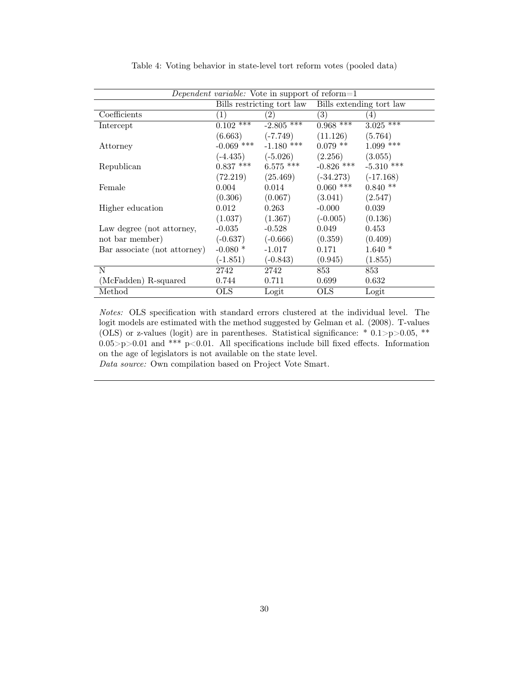|                              |                        | <i>Dependent variable:</i> Vote in support of reform=1 |              |              |
|------------------------------|------------------------|--------------------------------------------------------|--------------|--------------|
|                              |                        | Bills restricting tort law Bills extending tort law    |              |              |
| Coefficients                 | (1)                    | $\left( 2\right)$                                      | (3)          | (4)          |
| Intercept                    | $0.102$ <sup>***</sup> | $-2.805$ ***                                           | $0.968***$   | $3.025***$   |
|                              | (6.663)                | $(-7.749)$                                             | (11.126)     | (5.764)      |
| Attorney                     | $-0.069$ ***           | $-1.180$ ***                                           | $0.079$ **   | $1.099$ ***  |
|                              |                        | $(-4.435)$ $(-5.026)$                                  | (2.256)      | (3.055)      |
| Republican                   | $0.837$ ***            | $6.575$ ***                                            | $-0.826$ *** | $-5.310$ *** |
|                              | (72.219)               | (25.469)                                               | $(-34.273)$  | $(-17.168)$  |
| Female                       | 0.004                  | 0.014                                                  | $0.060$ ***  | $0.840**$    |
|                              | (0.306)                | (0.067)                                                | (3.041)      | (2.547)      |
| Higher education             | 0.012                  | 0.263                                                  | $-0.000$     | 0.039        |
|                              | (1.037)                | (1.367)                                                | $(-0.005)$   | (0.136)      |
| Law degree (not attorney,    | $-0.035$               | $-0.528$                                               | 0.049        | 0.453        |
| not bar member)              | $(-0.637)$             | $(-0.666)$                                             | (0.359)      | (0.409)      |
| Bar associate (not attorney) | $-0.080$ *             | $-1.017$                                               | 0.171        | $1.640*$     |
|                              | $(-1.851)$             | $(-0.843)$                                             | (0.945)      | (1.855)      |
| N                            | 2742                   | 2742                                                   | 853          | 853          |
| (McFadden) R-squared         | 0.744                  | 0.711                                                  | 0.699        | 0.632        |
| Method                       | OLS                    | Logit                                                  | <b>OLS</b>   | Logit        |

Table 4: Voting behavior in state-level tort reform votes (pooled data)

*Notes:* OLS specification with standard errors clustered at the individual level. The logit models are estimated with the method suggested by Gelman et al. (2008). T-values (OLS) or z-values (logit) are in parentheses. Statistical significance:  $* 0.1 > p > 0.05$ ,  $**$  $0.05 > p > 0.01$  and \*\*\*  $p < 0.01$ . All specifications include bill fixed effects. Information on the age of legislators is not available on the state level.

*Data source:* Own compilation based on Project Vote Smart.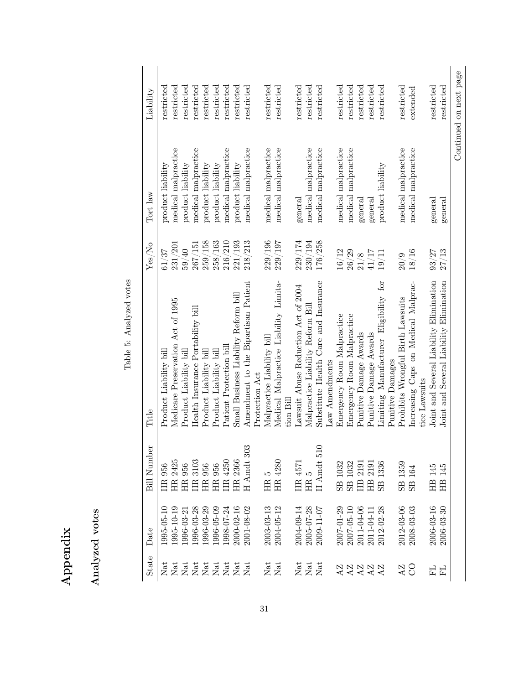| ×<br>Ë<br>$\mathbf{m}$ | votes<br>malvzed |
|------------------------|------------------|
|------------------------|------------------|

Analyzed votes

| Б<br>Ş<br>mal<br>ĺ |
|--------------------|
| ı.                 |
| J<br>Tab.          |

|                          |            |                                       | Table 5: Analyzed votes                              |         |                     |                        |
|--------------------------|------------|---------------------------------------|------------------------------------------------------|---------|---------------------|------------------------|
| State                    | Date       | සි<br>Bill Numb                       | Title                                                | Yes/No  | Tort law            | Liability              |
| Nat                      | 1995-05-10 | 956<br>Ê                              | Product Liability bil.                               | 61/37   | product liability   | restricted             |
|                          | 1995-10-19 | 2425<br>.<br>EH                       | Medicare Preservation Act of 1995                    | 231/201 | medical malpractice | restricted             |
|                          | 1996-03-21 | HR 956                                | Product Liability bil                                | 59/40   | product liability   | restricted             |
|                          | 1996-03-28 | HR 3103                               | Health Insurance Portability bill                    | 267/151 | medical malpractice | restricted             |
|                          | 1996-03-29 | HR 956                                | Product Liability bill                               | 259/158 | product liability   | restricted             |
| Nat<br>Nat<br>Nat<br>Nat | 1996-05-09 | HR 956                                | Product Liability bill                               | 258/163 | product liability   | restricted             |
| Nat                      | 998-07-24  | HR 4250                               | Patient Protection bill                              | 216/210 | medical malpractice | restricted             |
| Nat                      | 2000-02-16 | HR 2366                               | Small Business Liability Reform bill                 | 221/193 | product liability   | restricted             |
| Nat                      | 2001-08-02 | స్త<br>$H$ Amdt 3                     | Amendment to the Bipartisan Patient                  | 218/213 | medical malpractice | restricted             |
|                          |            |                                       | Protection Act                                       |         |                     |                        |
| Nat                      | 2003-03-13 | ĥ<br>HR                               | Malpractice Liability bill                           | 229/196 | medical malpractice | restricted             |
| Nat                      | 2004-05-12 | HR 4280                               | Medical Malpractice Liability Limita-                | 229/197 | medical malpractice | restricted             |
|                          |            |                                       | tion Bill                                            |         |                     |                        |
| Nat                      | 2004-09-14 | HR 4571                               | Lawsuit Abuse Reduction Act of 2004                  | 229/174 | general             | restricted             |
|                          | 2005-07-28 | LO<br>HR                              | Malpractice Liability Reform Bil                     | 230/194 | medical malpractice | restricted             |
| $_{\rm Nat}^{\rm Nat}$   | 2009-11-07 | $\circ$<br>$\overline{5}$<br>$H$ Amdt | Substitute Health Care and Insurance                 | 176/258 | medical malpractice | restricted             |
|                          |            |                                       | $\text{Law }$ Amendments                             |         |                     |                        |
|                          | 2007-01-29 | 1032<br>$_{\rm SB}$                   | Emergency Room Malpractice                           | $16/12$ | medical malpractice | restricted             |
| 22222<br>2222            | 2007-05-10 | SB 1032                               | Emergency Room Malpractice                           | 26/29   | medical malpractice | restricted             |
|                          | 2011-04-06 | HB 2191                               | Punitive Damage Awards                               | $21/8$  | general             | restricted             |
|                          | 2011-04-11 | HB 2191                               | Punitive Damage Awards                               | 41/17   | general             | restricted             |
|                          | 2012-02-28 | 1336<br>SB                            | Ior<br>Limiting Manufacturer Eligibility             | 19/11   | product liability   | restricted             |
|                          |            |                                       | Punitive Damages                                     |         |                     |                        |
| AZ                       | 2012-03-06 | 1359<br>S <sub>B</sub>                | Prohibits Wrongful Birth Lawsuits                    | 20/9    | medical malpractice | restricted             |
| $\overline{S}$           | 2008-03-03 | 164<br>$_{\rm SB}$                    | Increasing Caps on Medical Malprac-<br>tice Lawsuits | 18/16   | medical malpractice | extended               |
| 모                        | 2006-03-16 | HB 145                                | Joint and Several Liability Elimination              | 93/27   | general             | restricted             |
| 모                        | 2006-03-30 | 145<br>H <sub>B</sub>                 | Joint and Several Liability Elimination              | 27/13   | general             | restricted             |
|                          |            |                                       |                                                      |         |                     | Continued on next page |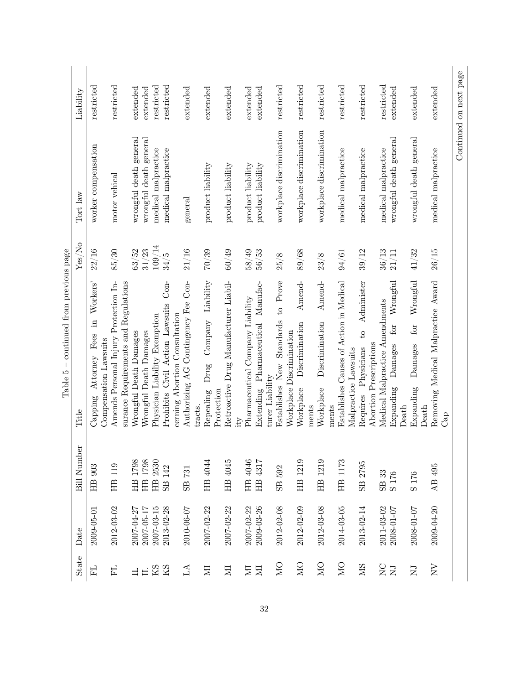|                          |            |                        | aspe shondard momentum particles.                                             |         |                          |                        |
|--------------------------|------------|------------------------|-------------------------------------------------------------------------------|---------|--------------------------|------------------------|
| State                    | Date       | <b>Bill Number</b>     | Title                                                                         | Yes/No  | Tort law                 | Liability              |
| EL                       | 2009-05-01 | 903<br>$\overline{H}$  | Workers'<br>且.<br>Capping Attorney Fees<br>Compensation Lawsuits              | 22/16   | worker compensation      | restricted             |
| 모                        | 2012-03-02 | HB 119                 | Amends Personal Injury Protection In-<br>surance Requirements and Regulations | $85/30$ | motor vehical            | restricted             |
| 日                        | 2007-04-27 | 1798<br><b>HB</b>      | Wrongful Death Damages                                                        | 63/52   | wrongful death general   | extended               |
| $\Box$                   | 2007-05-17 | 1798<br>$\mathbf{H}$   | Wrongful Death Damages                                                        | 31/23   | wrongful death general   | extended               |
| $\rm{KS}$                | 2007-03-15 | HB 2530                | Physician Liability Exemption                                                 | 109/14  | medical malpractice      | restricted             |
| KS                       | 2013-02-28 | 142<br>SB              | $Con-$<br>Prohibits Civil Action Lawsuits                                     | 34/5    | medical malpractice      | restricted             |
| LA                       | 2010-06-07 | 731<br>SB              | Authorizing AG Contingency Fee Con-<br>cerning Abortion Consultation          | 21/16   | general                  | extended               |
|                          |            |                        | tracts.                                                                       |         |                          |                        |
| $\Xi$                    | 2007-02-22 | HB 4044                | Drug Company Liability<br>Repealing<br>Protection                             | $70/39$ | product liability        | extended               |
| $\Xi$                    | 2007-02-22 | HB 4045                | Retroactive Drug Manufacturer Liabil-                                         | 60/49   | product liability        | extended               |
|                          |            |                        | ity                                                                           |         |                          |                        |
| Σ                        | 2007-02-22 | HB 4046                | Pharmaceutical Company Liability                                              | 58/49   | product liability        | extended               |
| E                        | 2009-03-26 | HB 4317                | Extending Pharmaceutical Manufac-<br>turer Liability                          | $56/53$ | product liability        | extended               |
| DМ                       | 2012-02-08 | 592<br>SB              | to Prove<br>Standards<br>Workplace Discrimination<br>Establishes New          | 25/8    | workplace discrimination | restricted             |
| <b>DI</b> N              | 2012-02-09 | HB 1219                | Amend-<br>Discrimination<br>Workplace                                         | 89/68   | workplace discrimination | restricted             |
| $\sum_{i=1}^{n}$         | 2012-03-08 | HB 1219                | Amend-<br>Discrimination<br>Workplace<br>ments<br>ments                       | 23/8    | workplace discrimination | restricted             |
| DМ                       | 2014-03-05 | HB 1173                | Establishes Causes of Action in Medical<br>Malpractice Lawsuits               | 94/61   | medical malpractice      | restricted             |
| <b>NIS</b>               | 2013-02-14 | 2795<br>S <sub>B</sub> | Administer<br>$\overline{c}$<br>Abortion Prescriptions<br>Requires Physicians | 39/12   | medical malpractice      | restricted             |
| $\sum_{i=1}^{n}$         | 2011-03-02 | SB 33                  | Medical Malpractice Amendments                                                | 36/13   | medical malpractice      | restricted             |
| $\overline{\phantom{a}}$ | 2008-01-07 | S <sub>176</sub>       | for Wrongful<br>Damages<br>Expanding<br>Death                                 | 21/11   | wrongful death general   | extended               |
| $\overline{\mathbf{N}}$  | 2008-01-07 | S <sub>176</sub>       | Wrongful<br>$\operatorname{for}$<br>Damages<br>Expanding<br>Death             | 41/32   | wrongful death general   | extended               |
| $_{\rm NN}$              | 2009-04-20 | AB 495                 | Removing Medical Malpractice Award<br>Cap                                     | 26/15   | medical malpractice      | extended               |
|                          |            |                        |                                                                               |         |                          | Continued on next page |

Table  $5$  – continued from previous page Table 5 – continued from previous page